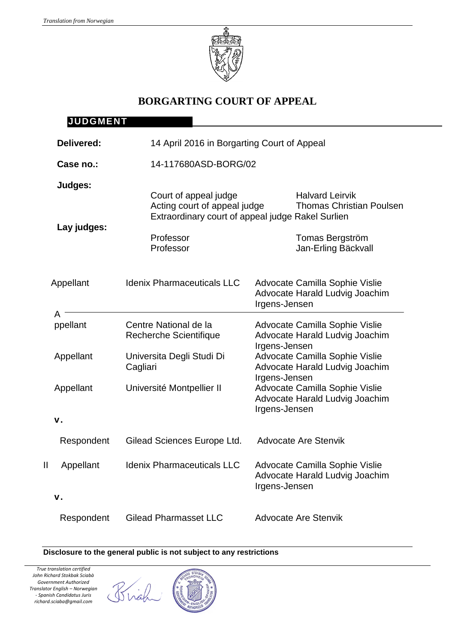

# **BORGARTING COURT OF APPEAL**

|               | <b>JUDGMENT</b>        |                                                        |                                                                                                                |
|---------------|------------------------|--------------------------------------------------------|----------------------------------------------------------------------------------------------------------------|
|               | Delivered:             | 14 April 2016 in Borgarting Court of Appeal            |                                                                                                                |
| Case no.:     |                        | 14-117680ASD-BORG/02                                   |                                                                                                                |
|               | Judges:<br>Lay judges: | Court of appeal judge<br>Acting court of appeal judge  | <b>Halvard Leirvik</b><br><b>Thomas Christian Poulsen</b><br>Extraordinary court of appeal judge Rakel Surlien |
|               |                        | Professor<br>Professor                                 | Tomas Bergström<br>Jan-Erling Bäckvall                                                                         |
|               | Appellant              | <b>Idenix Pharmaceuticals LLC</b>                      | Advocate Camilla Sophie Vislie<br>Advocate Harald Ludvig Joachim<br>Irgens-Jensen                              |
|               | A<br>ppellant          | Centre National de la<br><b>Recherche Scientifique</b> | Advocate Camilla Sophie Vislie<br>Advocate Harald Ludvig Joachim<br>Irgens-Jensen                              |
|               | Appellant              | Universita Degli Studi Di<br>Cagliari                  | Advocate Camilla Sophie Vislie<br>Advocate Harald Ludvig Joachim<br>Irgens-Jensen                              |
|               | Appellant              | Université Montpellier II                              | Advocate Camilla Sophie Vislie<br>Advocate Harald Ludvig Joachim<br>Irgens-Jensen                              |
| $V_{\cdot}$   |                        |                                                        |                                                                                                                |
|               | Respondent             | Gilead Sciences Europe Ltd.                            | <b>Advocate Are Stenvik</b>                                                                                    |
| $\mathsf{II}$ | Appellant              | <b>Idenix Pharmaceuticals LLC</b>                      | Advocate Camilla Sophie Vislie<br>Advocate Harald Ludvig Joachim<br>Irgens-Jensen                              |
| V.            |                        |                                                        |                                                                                                                |
|               | Respondent             | <b>Gilead Pharmasset LLC</b>                           | <b>Advocate Are Stenvik</b>                                                                                    |

#### **Disclosure to the general public is not subject to any restrictions**

Brigh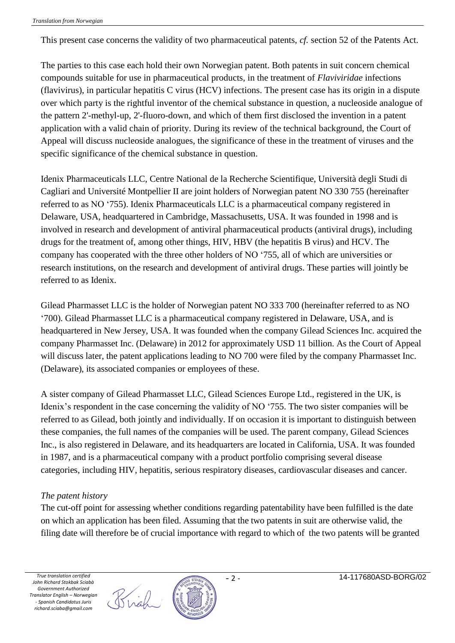This present case concerns the validity of two pharmaceutical patents, *cf.* section 52 of the Patents Act.

The parties to this case each hold their own Norwegian patent. Both patents in suit concern chemical compounds suitable for use in pharmaceutical products, in the treatment of *Flaviviridae* infections (flavivirus), in particular hepatitis C virus (HCV) infections. The present case has its origin in a dispute over which party is the rightful inventor of the chemical substance in question, a nucleoside analogue of the pattern 2'-methyl-up, 2'-fluoro-down, and which of them first disclosed the invention in a patent application with a valid chain of priority. During its review of the technical background, the Court of Appeal will discuss nucleoside analogues, the significance of these in the treatment of viruses and the specific significance of the chemical substance in question.

Idenix Pharmaceuticals LLC, Centre National de la Recherche Scientifique, Università degli Studi di Cagliari and Université Montpellier II are joint holders of Norwegian patent NO 330 755 (hereinafter referred to as NO '755). Idenix Pharmaceuticals LLC is a pharmaceutical company registered in Delaware, USA, headquartered in Cambridge, Massachusetts, USA. It was founded in 1998 and is involved in research and development of antiviral pharmaceutical products (antiviral drugs), including drugs for the treatment of, among other things, HIV, HBV (the hepatitis B virus) and HCV. The company has cooperated with the three other holders of NO '755, all of which are universities or research institutions, on the research and development of antiviral drugs. These parties will jointly be referred to as Idenix.

Gilead Pharmasset LLC is the holder of Norwegian patent NO 333 700 (hereinafter referred to as NO '700). Gilead Pharmasset LLC is a pharmaceutical company registered in Delaware, USA, and is headquartered in New Jersey, USA. It was founded when the company Gilead Sciences Inc. acquired the company Pharmasset Inc. (Delaware) in 2012 for approximately USD 11 billion. As the Court of Appeal will discuss later, the patent applications leading to NO 700 were filed by the company Pharmasset Inc. (Delaware), its associated companies or employees of these.

A sister company of Gilead Pharmasset LLC, Gilead Sciences Europe Ltd., registered in the UK, is Idenix's respondent in the case concerning the validity of NO '755. The two sister companies will be referred to as Gilead, both jointly and individually. If on occasion it is important to distinguish between these companies, the full names of the companies will be used. The parent company, Gilead Sciences Inc., is also registered in Delaware, and its headquarters are located in California, USA. It was founded in 1987, and is a pharmaceutical company with a product portfolio comprising several disease categories, including HIV, hepatitis, serious respiratory diseases, cardiovascular diseases and cancer.

#### *The patent history*

The cut-off point for assessing whether conditions regarding patentability have been fulfilled is the date on which an application has been filed. Assuming that the two patents in suit are otherwise valid, the filing date will therefore be of crucial importance with regard to which of the two patents will be granted



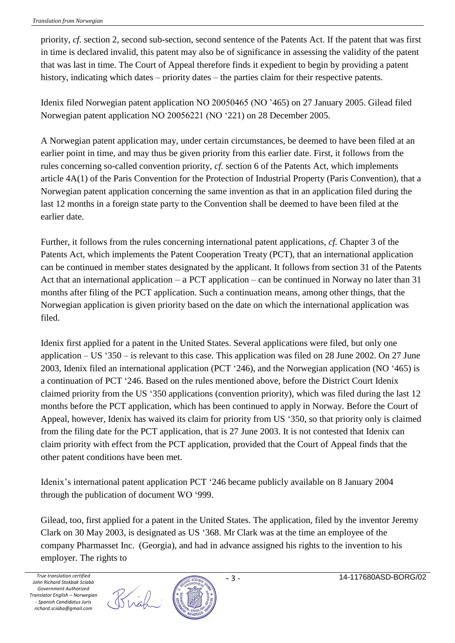priority, *cf.* section 2, second sub-section, second sentence of the Patents Act. If the patent that was first in time is declared invalid, this patent may also be of significance in assessing the validity of the patent that was last in time. The Court of Appeal therefore finds it expedient to begin by providing a patent history, indicating which dates – priority dates – the parties claim for their respective patents.

Idenix filed Norwegian patent application NO 20050465 (NO '465) on 27 January 2005. Gilead filed Norwegian patent application NO 20056221 (NO '221) on 28 December 2005.

A Norwegian patent application may, under certain circumstances, be deemed to have been filed at an earlier point in time, and may thus be given priority from this earlier date. First, it follows from the rules concerning so-called convention priority, *cf.* section 6 of the Patents Act, which implements article 4A(1) of the Paris Convention for the Protection of Industrial Property (Paris Convention), that a Norwegian patent application concerning the same invention as that in an application filed during the last 12 months in a foreign state party to the Convention shall be deemed to have been filed at the earlier date.

Further, it follows from the rules concerning international patent applications, *cf.* Chapter 3 of the Patents Act, which implements the Patent Cooperation Treaty (PCT), that an international application can be continued in member states designated by the applicant. It follows from section 31 of the Patents Act that an international application – a PCT application – can be continued in Norway no later than 31 months after filing of the PCT application. Such a continuation means, among other things, that the Norwegian application is given priority based on the date on which the international application was filed.

Idenix first applied for a patent in the United States. Several applications were filed, but only one application – US '350 – is relevant to this case. This application was filed on 28 June 2002. On 27 June 2003, Idenix filed an international application (PCT '246), and the Norwegian application (NO '465) is a continuation of PCT '246. Based on the rules mentioned above, before the District Court Idenix claimed priority from the US '350 applications (convention priority), which was filed during the last 12 months before the PCT application, which has been continued to apply in Norway. Before the Court of Appeal, however, Idenix has waived its claim for priority from US '350, so that priority only is claimed from the filing date for the PCT application, that is 27 June 2003. It is not contested that Idenix can claim priority with effect from the PCT application, provided that the Court of Appeal finds that the other patent conditions have been met.

Idenix's international patent application PCT '246 became publicly available on 8 January 2004 through the publication of document WO '999.

Gilead, too, first applied for a patent in the United States. The application, filed by the inventor Jeremy Clark on 30 May 2003, is designated as US '368. Mr Clark was at the time an employee of the company Pharmasset Inc. (Georgia), and had in advance assigned his rights to the invention to his employer. The rights to

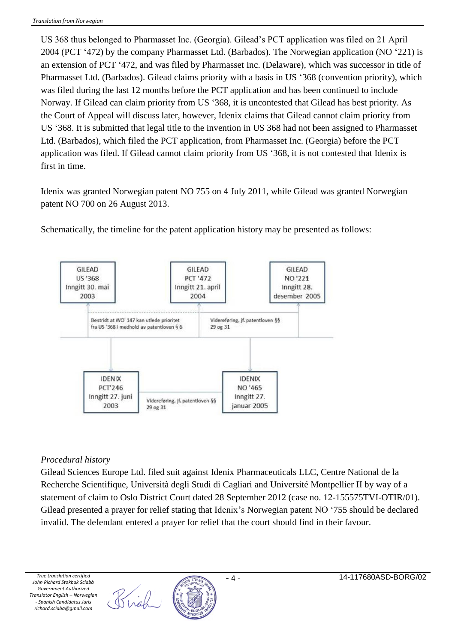US 368 thus belonged to Pharmasset Inc. (Georgia). Gilead's PCT application was filed on 21 April 2004 (PCT '472) by the company Pharmasset Ltd. (Barbados). The Norwegian application (NO '221) is an extension of PCT '472, and was filed by Pharmasset Inc. (Delaware), which was successor in title of Pharmasset Ltd. (Barbados). Gilead claims priority with a basis in US '368 (convention priority), which was filed during the last 12 months before the PCT application and has been continued to include Norway. If Gilead can claim priority from US '368, it is uncontested that Gilead has best priority. As the Court of Appeal will discuss later, however, Idenix claims that Gilead cannot claim priority from US '368. It is submitted that legal title to the invention in US 368 had not been assigned to Pharmasset Ltd. (Barbados), which filed the PCT application, from Pharmasset Inc. (Georgia) before the PCT application was filed. If Gilead cannot claim priority from US '368, it is not contested that Idenix is first in time.

Idenix was granted Norwegian patent NO 755 on 4 July 2011, while Gilead was granted Norwegian patent NO 700 on 26 August 2013.

Schematically, the timeline for the patent application history may be presented as follows:



#### *Procedural history*

Gilead Sciences Europe Ltd. filed suit against Idenix Pharmaceuticals LLC, Centre National de la Recherche Scientifique, Università degli Studi di Cagliari and Université Montpellier II by way of a statement of claim to Oslo District Court dated 28 September 2012 (case no. 12-155575TVI-OTIR/01). Gilead presented a prayer for relief stating that Idenix's Norwegian patent NO '755 should be declared invalid. The defendant entered a prayer for relief that the court should find in their favour.

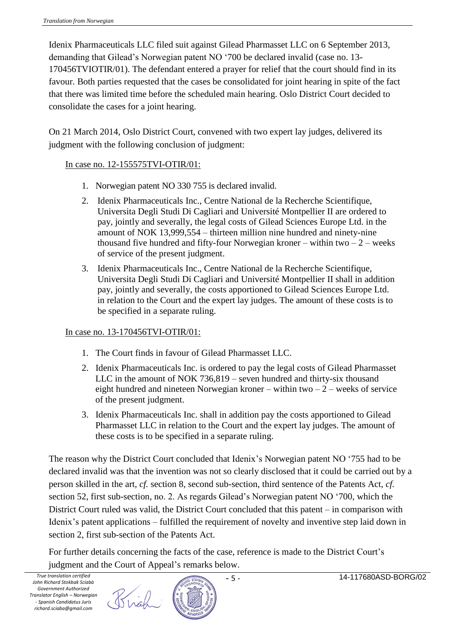Idenix Pharmaceuticals LLC filed suit against Gilead Pharmasset LLC on 6 September 2013, demanding that Gilead's Norwegian patent NO '700 be declared invalid (case no. 13- 170456TVIOTIR/01). The defendant entered a prayer for relief that the court should find in its favour. Both parties requested that the cases be consolidated for joint hearing in spite of the fact that there was limited time before the scheduled main hearing. Oslo District Court decided to consolidate the cases for a joint hearing.

On 21 March 2014, Oslo District Court, convened with two expert lay judges, delivered its judgment with the following conclusion of judgment:

### In case no. 12-155575TVI-OTIR/01:

- 1. Norwegian patent NO 330 755 is declared invalid.
- 2. Idenix Pharmaceuticals Inc., Centre National de la Recherche Scientifique, Universita Degli Studi Di Cagliari and Université Montpellier II are ordered to pay, jointly and severally, the legal costs of Gilead Sciences Europe Ltd. in the amount of NOK 13,999,554 – thirteen million nine hundred and ninety-nine thousand five hundred and fifty-four Norwegian kroner – within two  $-2$  – weeks of service of the present judgment.
- 3. Idenix Pharmaceuticals Inc., Centre National de la Recherche Scientifique, Universita Degli Studi Di Cagliari and Université Montpellier II shall in addition pay, jointly and severally, the costs apportioned to Gilead Sciences Europe Ltd. in relation to the Court and the expert lay judges. The amount of these costs is to be specified in a separate ruling.

## In case no. 13-170456TVI-OTIR/01:

- 1. The Court finds in favour of Gilead Pharmasset LLC.
- 2. Idenix Pharmaceuticals Inc. is ordered to pay the legal costs of Gilead Pharmasset LLC in the amount of NOK 736,819 – seven hundred and thirty-six thousand eight hundred and nineteen Norwegian kroner – within two  $-2$  – weeks of service of the present judgment.
- 3. Idenix Pharmaceuticals Inc. shall in addition pay the costs apportioned to Gilead Pharmasset LLC in relation to the Court and the expert lay judges. The amount of these costs is to be specified in a separate ruling.

The reason why the District Court concluded that Idenix's Norwegian patent NO '755 had to be declared invalid was that the invention was not so clearly disclosed that it could be carried out by a person skilled in the art, *cf.* section 8, second sub-section, third sentence of the Patents Act, *cf.* section 52, first sub-section, no. 2. As regards Gilead's Norwegian patent NO '700, which the District Court ruled was valid, the District Court concluded that this patent – in comparison with Idenix's patent applications – fulfilled the requirement of novelty and inventive step laid down in section 2, first sub-section of the Patents Act.

For further details concerning the facts of the case, reference is made to the District Court's judgment and the Court of Appeal's remarks below.

Birgh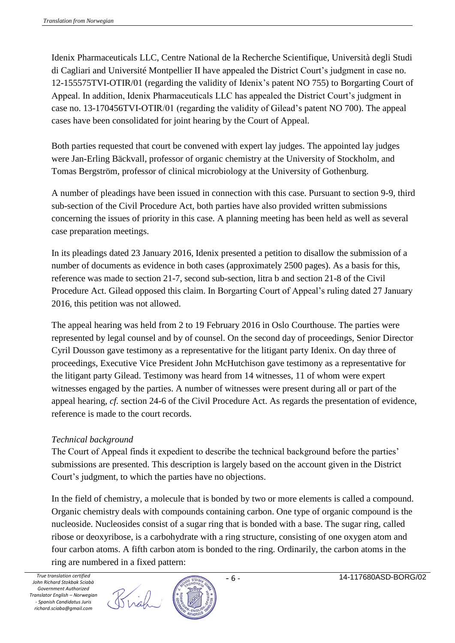Idenix Pharmaceuticals LLC, Centre National de la Recherche Scientifique, Università degli Studi di Cagliari and Université Montpellier II have appealed the District Court's judgment in case no. 12-155575TVI-OTIR/01 (regarding the validity of Idenix's patent NO 755) to Borgarting Court of Appeal. In addition, Idenix Pharmaceuticals LLC has appealed the District Court's judgment in case no. 13-170456TVI-OTIR/01 (regarding the validity of Gilead's patent NO 700). The appeal cases have been consolidated for joint hearing by the Court of Appeal.

Both parties requested that court be convened with expert lay judges. The appointed lay judges were Jan-Erling Bäckvall, professor of organic chemistry at the University of Stockholm, and Tomas Bergström, professor of clinical microbiology at the University of Gothenburg.

A number of pleadings have been issued in connection with this case. Pursuant to section 9-9, third sub-section of the Civil Procedure Act, both parties have also provided written submissions concerning the issues of priority in this case. A planning meeting has been held as well as several case preparation meetings.

In its pleadings dated 23 January 2016, Idenix presented a petition to disallow the submission of a number of documents as evidence in both cases (approximately 2500 pages). As a basis for this, reference was made to section 21-7, second sub-section, litra b and section 21-8 of the Civil Procedure Act. Gilead opposed this claim. In Borgarting Court of Appeal's ruling dated 27 January 2016, this petition was not allowed.

The appeal hearing was held from 2 to 19 February 2016 in Oslo Courthouse. The parties were represented by legal counsel and by of counsel. On the second day of proceedings, Senior Director Cyril Dousson gave testimony as a representative for the litigant party Idenix. On day three of proceedings, Executive Vice President John McHutchison gave testimony as a representative for the litigant party Gilead. Testimony was heard from 14 witnesses, 11 of whom were expert witnesses engaged by the parties. A number of witnesses were present during all or part of the appeal hearing, *cf.* section 24-6 of the Civil Procedure Act. As regards the presentation of evidence, reference is made to the court records.

#### *Technical background*

The Court of Appeal finds it expedient to describe the technical background before the parties' submissions are presented. This description is largely based on the account given in the District Court's judgment, to which the parties have no objections.

In the field of chemistry, a molecule that is bonded by two or more elements is called a compound. Organic chemistry deals with compounds containing carbon. One type of organic compound is the nucleoside. Nucleosides consist of a sugar ring that is bonded with a base. The sugar ring, called ribose or deoxyribose, is a carbohydrate with a ring structure, consisting of one oxygen atom and four carbon atoms. A fifth carbon atom is bonded to the ring. Ordinarily, the carbon atoms in the ring are numbered in a fixed pattern:

Brigh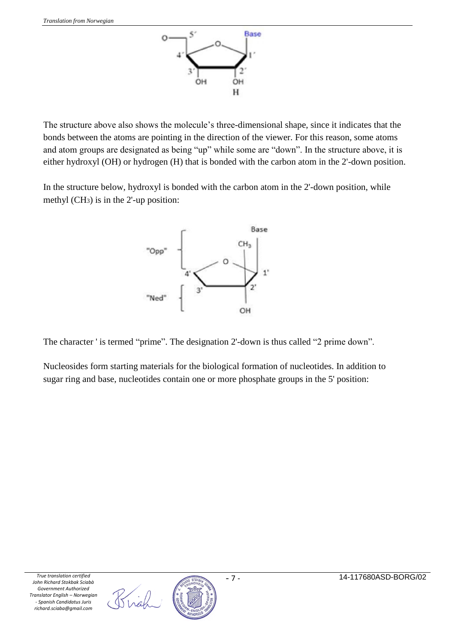

The structure above also shows the molecule's three-dimensional shape, since it indicates that the bonds between the atoms are pointing in the direction of the viewer. For this reason, some atoms and atom groups are designated as being "up" while some are "down". In the structure above, it is either hydroxyl (OH) or hydrogen (H) that is bonded with the carbon atom in the 2'-down position.

In the structure below, hydroxyl is bonded with the carbon atom in the 2'-down position, while methyl (CH3) is in the 2'-up position:



The character ' is termed "prime". The designation 2'-down is thus called "2 prime down".

Nucleosides form starting materials for the biological formation of nucleotides. In addition to sugar ring and base, nucleotides contain one or more phosphate groups in the 5' position:



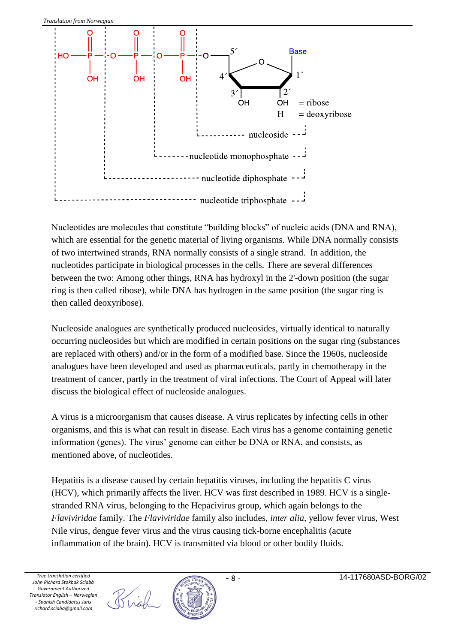

Nucleotides are molecules that constitute "building blocks" of nucleic acids (DNA and RNA), which are essential for the genetic material of living organisms. While DNA normally consists of two intertwined strands, RNA normally consists of a single strand. In addition, the nucleotides participate in biological processes in the cells. There are several differences between the two: Among other things, RNA has hydroxyl in the 2'-down position (the sugar ring is then called ribose), while DNA has hydrogen in the same position (the sugar ring is then called deoxyribose).

Nucleoside analogues are synthetically produced nucleosides, virtually identical to naturally occurring nucleosides but which are modified in certain positions on the sugar ring (substances are replaced with others) and/or in the form of a modified base. Since the 1960s, nucleoside analogues have been developed and used as pharmaceuticals, partly in chemotherapy in the treatment of cancer, partly in the treatment of viral infections. The Court of Appeal will later discuss the biological effect of nucleoside analogues.

A virus is a microorganism that causes disease. A virus replicates by infecting cells in other organisms, and this is what can result in disease. Each virus has a genome containing genetic information (genes). The virus' genome can either be DNA or RNA, and consists, as mentioned above, of nucleotides.

Hepatitis is a disease caused by certain hepatitis viruses, including the hepatitis C virus (HCV), which primarily affects the liver. HCV was first described in 1989. HCV is a singlestranded RNA virus, belonging to the Hepacivirus group, which again belongs to the *Flaviviridae* family. The *Flaviviridae* family also includes, *inter alia,* yellow fever virus, West Nile virus, dengue fever virus and the virus causing tick-borne encephalitis (acute inflammation of the brain). HCV is transmitted via blood or other bodily fluids.



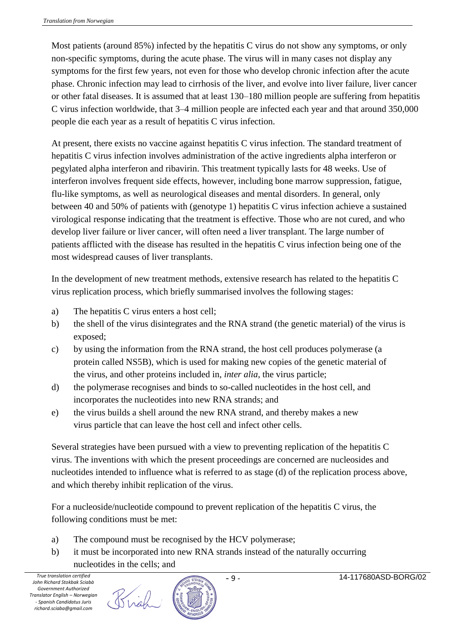Most patients (around 85%) infected by the hepatitis C virus do not show any symptoms, or only non-specific symptoms, during the acute phase. The virus will in many cases not display any symptoms for the first few years, not even for those who develop chronic infection after the acute phase. Chronic infection may lead to cirrhosis of the liver, and evolve into liver failure, liver cancer or other fatal diseases. It is assumed that at least 130–180 million people are suffering from hepatitis C virus infection worldwide, that 3–4 million people are infected each year and that around 350,000 people die each year as a result of hepatitis C virus infection.

At present, there exists no vaccine against hepatitis C virus infection. The standard treatment of hepatitis C virus infection involves administration of the active ingredients alpha interferon or pegylated alpha interferon and ribavirin. This treatment typically lasts for 48 weeks. Use of interferon involves frequent side effects, however, including bone marrow suppression, fatigue, flu-like symptoms, as well as neurological diseases and mental disorders. In general, only between 40 and 50% of patients with (genotype 1) hepatitis C virus infection achieve a sustained virological response indicating that the treatment is effective. Those who are not cured, and who develop liver failure or liver cancer, will often need a liver transplant. The large number of patients afflicted with the disease has resulted in the hepatitis C virus infection being one of the most widespread causes of liver transplants.

In the development of new treatment methods, extensive research has related to the hepatitis C virus replication process, which briefly summarised involves the following stages:

- a) The hepatitis C virus enters a host cell;
- b) the shell of the virus disintegrates and the RNA strand (the genetic material) of the virus is exposed;
- c) by using the information from the RNA strand, the host cell produces polymerase (a protein called NS5B), which is used for making new copies of the genetic material of the virus, and other proteins included in, *inter alia*, the virus particle;
- d) the polymerase recognises and binds to so-called nucleotides in the host cell, and incorporates the nucleotides into new RNA strands; and
- e) the virus builds a shell around the new RNA strand, and thereby makes a new virus particle that can leave the host cell and infect other cells.

Several strategies have been pursued with a view to preventing replication of the hepatitis C virus. The inventions with which the present proceedings are concerned are nucleosides and nucleotides intended to influence what is referred to as stage (d) of the replication process above, and which thereby inhibit replication of the virus.

For a nucleoside/nucleotide compound to prevent replication of the hepatitis C virus, the following conditions must be met:

- a) The compound must be recognised by the HCV polymerase;
- b) it must be incorporated into new RNA strands instead of the naturally occurring nucleotides in the cells; and

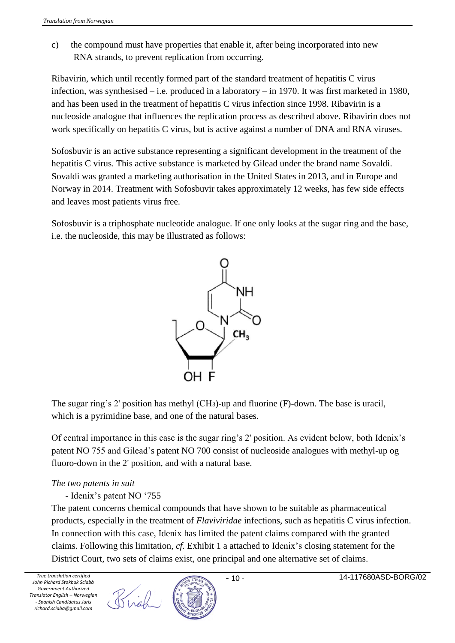c) the compound must have properties that enable it, after being incorporated into new RNA strands, to prevent replication from occurring.

Ribavirin, which until recently formed part of the standard treatment of hepatitis C virus infection, was synthesised – i.e. produced in a laboratory – in 1970. It was first marketed in 1980, and has been used in the treatment of hepatitis C virus infection since 1998. Ribavirin is a nucleoside analogue that influences the replication process as described above. Ribavirin does not work specifically on hepatitis C virus, but is active against a number of DNA and RNA viruses.

Sofosbuvir is an active substance representing a significant development in the treatment of the hepatitis C virus. This active substance is marketed by Gilead under the brand name Sovaldi. Sovaldi was granted a marketing authorisation in the United States in 2013, and in Europe and Norway in 2014. Treatment with Sofosbuvir takes approximately 12 weeks, has few side effects and leaves most patients virus free.

Sofosbuvir is a triphosphate nucleotide analogue. If one only looks at the sugar ring and the base, i.e. the nucleoside, this may be illustrated as follows:



The sugar ring's 2' position has methyl (CH3)-up and fluorine (F)-down. The base is uracil, which is a pyrimidine base, and one of the natural bases.

Of central importance in this case is the sugar ring's 2' position. As evident below, both Idenix's patent NO 755 and Gilead's patent NO 700 consist of nucleoside analogues with methyl-up og fluoro-down in the 2' position, and with a natural base.

## *The two patents in suit*

## - Idenix's patent NO '755

The patent concerns chemical compounds that have shown to be suitable as pharmaceutical products, especially in the treatment of *Flaviviridae* infections, such as hepatitis C virus infection. In connection with this case, Idenix has limited the patent claims compared with the granted claims. Following this limitation, *cf.* Exhibit 1 a attached to Idenix's closing statement for the District Court, two sets of claims exist, one principal and one alternative set of claims.

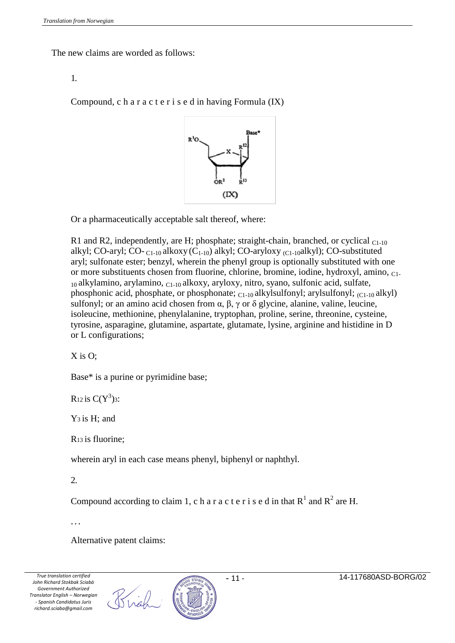The new claims are worded as follows:

#### 1.

Compound, c h a r a c t e r i s e d in having Formula (IX)



Or a pharmaceutically acceptable salt thereof, where:

R1 and R2, independently, are H; phosphate; straight-chain, branched, or cyclical  $_{C1-10}$ alkyl; CO-aryl; CO- $_{C1-10}$  alkoxy (C<sub>1-10</sub>) alkyl; CO-aryloxy <sub>(C1-10</sub>alkyl); CO-substituted aryl; sulfonate ester; benzyl, wherein the phenyl group is optionally substituted with one or more substituents chosen from fluorine, chlorine, bromine, iodine, hydroxyl, amino, C1-  $_{10}$ alkylamino, arylamino,  $_{C1-10}$ alkoxy, aryloxy, nitro, syano, sulfonic acid, sulfate, phosphonic acid, phosphate, or phosphonate;  $_{C1-10}$  alkylsulfonyl; arylsulfonyl;  $_{C1-10}$  alkyl) sulfonyl; or an amino acid chosen from α,  $\beta$ ,  $\gamma$  or δ glycine, alanine, valine, leucine, isoleucine, methionine, phenylalanine, tryptophan, proline, serine, threonine, cysteine, tyrosine, asparagine, glutamine, aspartate, glutamate, lysine, arginine and histidine in D or L configurations;

#### X is O;

Base\* is a purine or pyrimidine base;

R<sub>12</sub> is  $C(Y^3)$ 3:

Y3 is H; and

R13 is fluorine;

wherein aryl in each case means phenyl, biphenyl or naphthyl.

2.

Compound according to claim 1, c h a r a c t e r i s e d in that  $R^1$  and  $R^2$  are H.

...

Alternative patent claims:

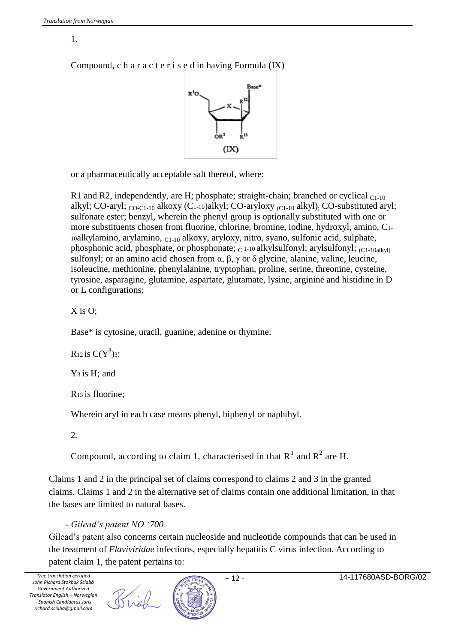## 1.

Compound, c h a r a c t e r i s e d in having Formula (IX)



or a pharmaceutically acceptable salt thereof, where:

R1 and R2, independently, are H; phosphate; straight-chain; branched or cyclical  $_{C1-10}$ alkyl; CO-aryl; CO-C1-10 alkoxy (C1-10)alkyl; CO-aryloxy (C1-10 alkyl); CO-substituted aryl; sulfonate ester; benzyl, wherein the phenyl group is optionally substituted with one or more substituents chosen from fluorine, chlorine, bromine, iodine, hydroxyl, amino, C1-  $10a$ lkylamino, arylamino,  $C<sub>1-10</sub>$  alkoxy, aryloxy, nitro, syano, sulfonic acid, sulphate, phosphonic acid, phosphate, or phosphonate;  $_C$  1-10 alkylsulfonyl; arylsulfonyl;  $_{(C1-10a]}$ kyl) sulfonyl; or an amino acid chosen from  $\alpha$ ,  $\beta$ ,  $\gamma$  or  $\delta$  glycine, alanine, valine, leucine, isoleucine, methionine, phenylalanine, tryptophan, proline, serine, threonine, cysteine, tyrosine, asparagine, glutamine, aspartate, glutamate, lysine, arginine and histidine in D or L configurations;

 $X$  is  $O$ :

Base\* is cytosine, uracil, guanine, adenine or thymine:

R<sub>12</sub> is  $C(Y^3)$ 3:

Y3 is H; and

R13 is fluorine;

Wherein aryl in each case means phenyl, biphenyl or naphthyl.

2.

Compound, according to claim 1, characterised in that  $R^1$  and  $R^2$  are H.

Claims 1 and 2 in the principal set of claims correspond to claims 2 and 3 in the granted claims. Claims 1 and 2 in the alternative set of claims contain one additional limitation, in that the bases are limited to natural bases.

- *Gilead's patent NO '700*

Gilead's patent also concerns certain nucleoside and nucleotide compounds that can be used in the treatment of *Flaviviridae* infections, especially hepatitis C virus infection. According to patent claim 1, the patent pertains to:

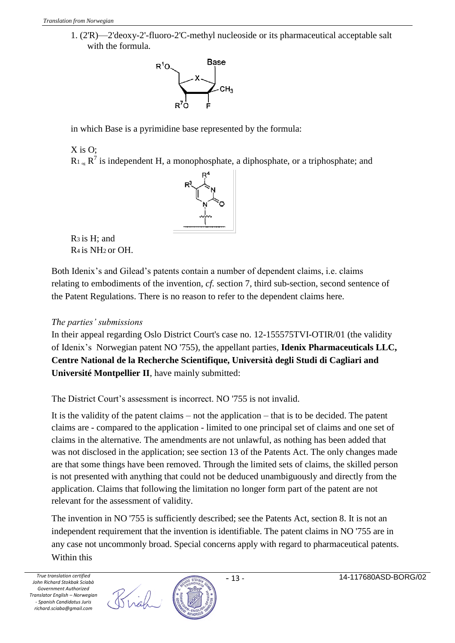1. (2'R)—2'deoxy-2'-fluoro-2'C-methyl nucleoside or its pharmaceutical acceptable salt with the formula.



in which Base is a pyrimidine base represented by the formula:

# X is O;

 $R_1_{\text{log}} R^7$  is independent H, a monophosphate, a diphosphate, or a triphosphate; and



R3 is H; and R4 is NH2 or OH.

Both Idenix's and Gilead's patents contain a number of dependent claims, i.e. claims relating to embodiments of the invention, *cf.* section 7, third sub-section, second sentence of the Patent Regulations. There is no reason to refer to the dependent claims here.

### *The parties' submissions*

In their appeal regarding Oslo District Court's case no. 12-155575TVI-OTIR/01 (the validity of Idenix's Norwegian patent NO '755), the appellant parties, **Idenix Pharmaceuticals LLC, Centre National de la Recherche Scientifique, Università degli Studi di Cagliari and Université Montpellier II**, have mainly submitted:

The District Court's assessment is incorrect. NO '755 is not invalid.

It is the validity of the patent claims – not the application – that is to be decided. The patent claims are - compared to the application - limited to one principal set of claims and one set of claims in the alternative. The amendments are not unlawful, as nothing has been added that was not disclosed in the application; see section 13 of the Patents Act. The only changes made are that some things have been removed. Through the limited sets of claims, the skilled person is not presented with anything that could not be deduced unambiguously and directly from the application. Claims that following the limitation no longer form part of the patent are not relevant for the assessment of validity.

The invention in NO '755 is sufficiently described; see the Patents Act, section 8. It is not an independent requirement that the invention is identifiable. The patent claims in NO '755 are in any case not uncommonly broad. Special concerns apply with regard to pharmaceutical patents. Within this



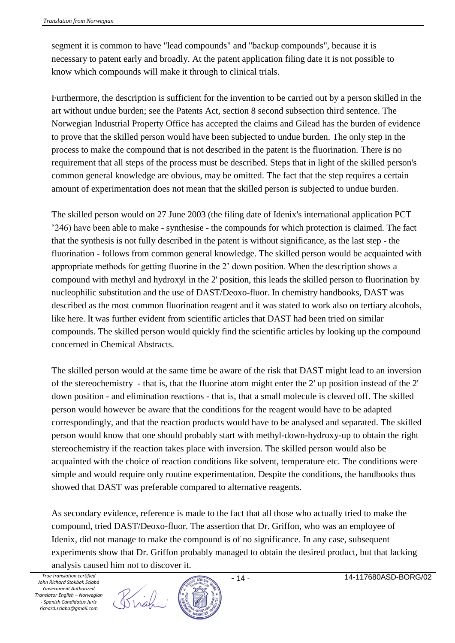segment it is common to have "lead compounds" and "backup compounds", because it is necessary to patent early and broadly. At the patent application filing date it is not possible to know which compounds will make it through to clinical trials.

Furthermore, the description is sufficient for the invention to be carried out by a person skilled in the art without undue burden; see the Patents Act, section 8 second subsection third sentence. The Norwegian Industrial Property Office has accepted the claims and Gilead has the burden of evidence to prove that the skilled person would have been subjected to undue burden. The only step in the process to make the compound that is not described in the patent is the fluorination. There is no requirement that all steps of the process must be described. Steps that in light of the skilled person's common general knowledge are obvious, may be omitted. The fact that the step requires a certain amount of experimentation does not mean that the skilled person is subjected to undue burden.

The skilled person would on 27 June 2003 (the filing date of Idenix's international application PCT '246) have been able to make - synthesise - the compounds for which protection is claimed. The fact that the synthesis is not fully described in the patent is without significance, as the last step - the fluorination - follows from common general knowledge. The skilled person would be acquainted with appropriate methods for getting fluorine in the 2' down position. When the description shows a compound with methyl and hydroxyl in the 2' position, this leads the skilled person to fluorination by nucleophilic substitution and the use of DAST/Deoxo-fluor. In chemistry handbooks, DAST was described as the most common fluorination reagent and it was stated to work also on tertiary alcohols, like here. It was further evident from scientific articles that DAST had been tried on similar compounds. The skilled person would quickly find the scientific articles by looking up the compound concerned in Chemical Abstracts.

The skilled person would at the same time be aware of the risk that DAST might lead to an inversion of the stereochemistry - that is, that the fluorine atom might enter the 2' up position instead of the 2' down position - and elimination reactions - that is, that a small molecule is cleaved off. The skilled person would however be aware that the conditions for the reagent would have to be adapted correspondingly, and that the reaction products would have to be analysed and separated. The skilled person would know that one should probably start with methyl-down-hydroxy-up to obtain the right stereochemistry if the reaction takes place with inversion. The skilled person would also be acquainted with the choice of reaction conditions like solvent, temperature etc. The conditions were simple and would require only routine experimentation. Despite the conditions, the handbooks thus showed that DAST was preferable compared to alternative reagents.

As secondary evidence, reference is made to the fact that all those who actually tried to make the compound, tried DAST/Deoxo-fluor. The assertion that Dr. Griffon, who was an employee of Idenix, did not manage to make the compound is of no significance. In any case, subsequent experiments show that Dr. Griffon probably managed to obtain the desired product, but that lacking analysis caused him not to discover it.

Birgh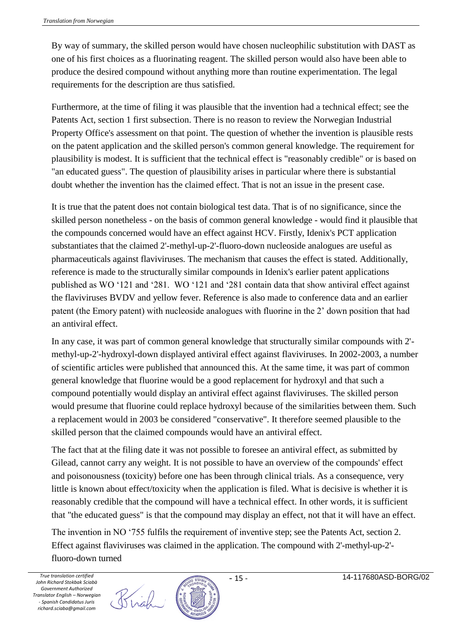By way of summary, the skilled person would have chosen nucleophilic substitution with DAST as one of his first choices as a fluorinating reagent. The skilled person would also have been able to produce the desired compound without anything more than routine experimentation. The legal requirements for the description are thus satisfied.

Furthermore, at the time of filing it was plausible that the invention had a technical effect; see the Patents Act, section 1 first subsection. There is no reason to review the Norwegian Industrial Property Office's assessment on that point. The question of whether the invention is plausible rests on the patent application and the skilled person's common general knowledge. The requirement for plausibility is modest. It is sufficient that the technical effect is "reasonably credible" or is based on "an educated guess". The question of plausibility arises in particular where there is substantial doubt whether the invention has the claimed effect. That is not an issue in the present case.

It is true that the patent does not contain biological test data. That is of no significance, since the skilled person nonetheless - on the basis of common general knowledge - would find it plausible that the compounds concerned would have an effect against HCV. Firstly, Idenix's PCT application substantiates that the claimed 2'-methyl-up-2'-fluoro-down nucleoside analogues are useful as pharmaceuticals against flaviviruses. The mechanism that causes the effect is stated. Additionally, reference is made to the structurally similar compounds in Idenix's earlier patent applications published as WO '121 and '281. WO '121 and '281 contain data that show antiviral effect against the flaviviruses BVDV and yellow fever. Reference is also made to conference data and an earlier patent (the Emory patent) with nucleoside analogues with fluorine in the 2' down position that had an antiviral effect.

In any case, it was part of common general knowledge that structurally similar compounds with 2' methyl-up-2'-hydroxyl-down displayed antiviral effect against flaviviruses. In 2002-2003, a number of scientific articles were published that announced this. At the same time, it was part of common general knowledge that fluorine would be a good replacement for hydroxyl and that such a compound potentially would display an antiviral effect against flaviviruses. The skilled person would presume that fluorine could replace hydroxyl because of the similarities between them. Such a replacement would in 2003 be considered "conservative". It therefore seemed plausible to the skilled person that the claimed compounds would have an antiviral effect.

The fact that at the filing date it was not possible to foresee an antiviral effect, as submitted by Gilead, cannot carry any weight. It is not possible to have an overview of the compounds' effect and poisonousness (toxicity) before one has been through clinical trials. As a consequence, very little is known about effect/toxicity when the application is filed. What is decisive is whether it is reasonably credible that the compound will have a technical effect. In other words, it is sufficient that "the educated guess" is that the compound may display an effect, not that it will have an effect.

The invention in NO '755 fulfils the requirement of inventive step; see the Patents Act, section 2. Effect against flaviviruses was claimed in the application. The compound with 2'-methyl-up-2' fluoro-down turned

Brigh

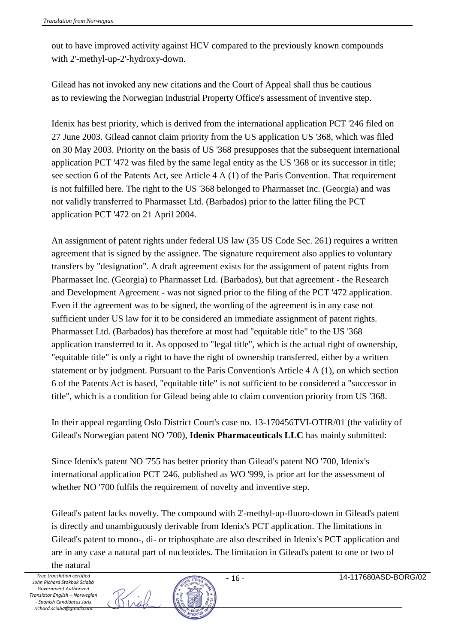out to have improved activity against HCV compared to the previously known compounds with 2'-methyl-up-2'-hydroxy-down.

Gilead has not invoked any new citations and the Court of Appeal shall thus be cautious as to reviewing the Norwegian Industrial Property Office's assessment of inventive step.

Idenix has best priority, which is derived from the international application PCT '246 filed on 27 June 2003. Gilead cannot claim priority from the US application US '368, which was filed on 30 May 2003. Priority on the basis of US '368 presupposes that the subsequent international application PCT '472 was filed by the same legal entity as the US '368 or its successor in title; see section 6 of the Patents Act, see Article 4 A (1) of the Paris Convention. That requirement is not fulfilled here. The right to the US '368 belonged to Pharmasset Inc. (Georgia) and was not validly transferred to Pharmasset Ltd. (Barbados) prior to the latter filing the PCT application PCT '472 on 21 April 2004.

An assignment of patent rights under federal US law (35 US Code Sec. 261) requires a written agreement that is signed by the assignee. The signature requirement also applies to voluntary transfers by "designation". A draft agreement exists for the assignment of patent rights from Pharmasset Inc. (Georgia) to Pharmasset Ltd. (Barbados), but that agreement - the Research and Development Agreement - was not signed prior to the filing of the PCT '472 application. Even if the agreement was to be signed, the wording of the agreement is in any case not sufficient under US law for it to be considered an immediate assignment of patent rights. Pharmasset Ltd. (Barbados) has therefore at most had "equitable title" to the US '368 application transferred to it. As opposed to "legal title", which is the actual right of ownership, "equitable title" is only a right to have the right of ownership transferred, either by a written statement or by judgment. Pursuant to the Paris Convention's Article 4 A (1), on which section 6 of the Patents Act is based, "equitable title" is not sufficient to be considered a "successor in title", which is a condition for Gilead being able to claim convention priority from US '368.

In their appeal regarding Oslo District Court's case no. 13-170456TVI-OTIR/01 (the validity of Gilead's Norwegian patent NO '700), **Idenix Pharmaceuticals LLC** has mainly submitted:

Since Idenix's patent NO '755 has better priority than Gilead's patent NO '700, Idenix's international application PCT '246, published as WO '999, is prior art for the assessment of whether NO '700 fulfils the requirement of novelty and inventive step.

Gilead's patent lacks novelty. The compound with 2'-methyl-up-fluoro-down in Gilead's patent is directly and unambiguously derivable from Idenix's PCT application. The limitations in Gilead's patent to mono-, di- or triphosphate are also described in Idenix's PCT application and are in any case a natural part of nucleotides. The limitation in Gilead's patent to one or two of the natural



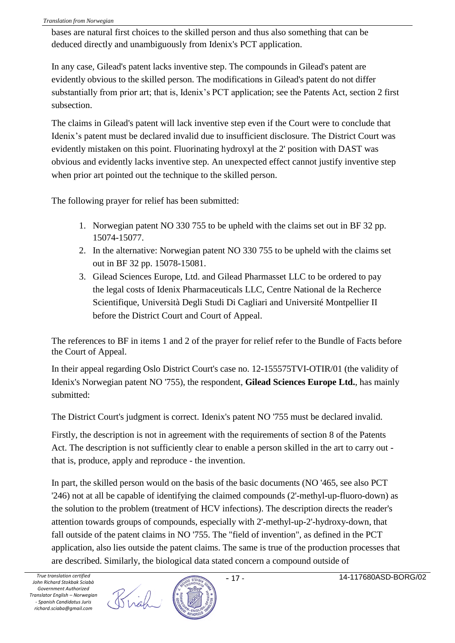bases are natural first choices to the skilled person and thus also something that can be deduced directly and unambiguously from Idenix's PCT application.

In any case, Gilead's patent lacks inventive step. The compounds in Gilead's patent are evidently obvious to the skilled person. The modifications in Gilead's patent do not differ substantially from prior art; that is, Idenix's PCT application; see the Patents Act, section 2 first subsection.

The claims in Gilead's patent will lack inventive step even if the Court were to conclude that Idenix's patent must be declared invalid due to insufficient disclosure. The District Court was evidently mistaken on this point. Fluorinating hydroxyl at the 2' position with DAST was obvious and evidently lacks inventive step. An unexpected effect cannot justify inventive step when prior art pointed out the technique to the skilled person.

The following prayer for relief has been submitted:

- 1. Norwegian patent NO 330 755 to be upheld with the claims set out in BF 32 pp. 15074-15077.
- 2. In the alternative: Norwegian patent NO 330 755 to be upheld with the claims set out in BF 32 pp. 15078-15081.
- 3. Gilead Sciences Europe, Ltd. and Gilead Pharmasset LLC to be ordered to pay the legal costs of Idenix Pharmaceuticals LLC, Centre National de la Recherce Scientifique, Università Degli Studi Di Cagliari and Université Montpellier II before the District Court and Court of Appeal.

The references to BF in items 1 and 2 of the prayer for relief refer to the Bundle of Facts before the Court of Appeal.

In their appeal regarding Oslo District Court's case no. 12-155575TVI-OTIR/01 (the validity of Idenix's Norwegian patent NO '755), the respondent, **Gilead Sciences Europe Ltd.**, has mainly submitted:

The District Court's judgment is correct. Idenix's patent NO '755 must be declared invalid.

Firstly, the description is not in agreement with the requirements of section 8 of the Patents Act. The description is not sufficiently clear to enable a person skilled in the art to carry out that is, produce, apply and reproduce - the invention.

In part, the skilled person would on the basis of the basic documents (NO '465, see also PCT '246) not at all be capable of identifying the claimed compounds (2'-methyl-up-fluoro-down) as the solution to the problem (treatment of HCV infections). The description directs the reader's attention towards groups of compounds, especially with 2'-methyl-up-2'-hydroxy-down, that fall outside of the patent claims in NO '755. The "field of invention", as defined in the PCT application, also lies outside the patent claims. The same is true of the production processes that are described. Similarly, the biological data stated concern a compound outside of

Birgh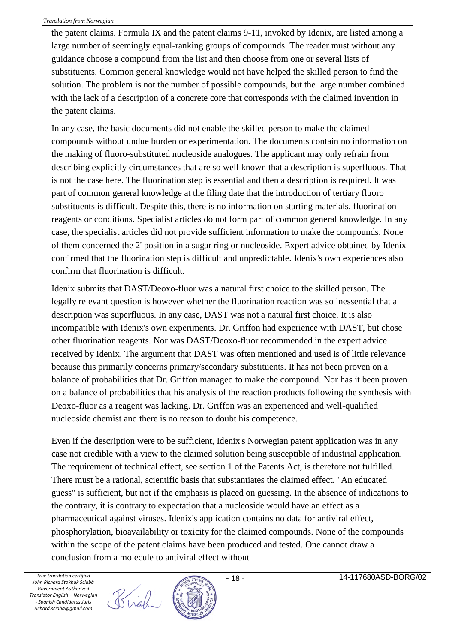the patent claims. Formula IX and the patent claims 9-11, invoked by Idenix, are listed among a large number of seemingly equal-ranking groups of compounds. The reader must without any guidance choose a compound from the list and then choose from one or several lists of substituents. Common general knowledge would not have helped the skilled person to find the solution. The problem is not the number of possible compounds, but the large number combined with the lack of a description of a concrete core that corresponds with the claimed invention in the patent claims.

In any case, the basic documents did not enable the skilled person to make the claimed compounds without undue burden or experimentation. The documents contain no information on the making of fluoro-substituted nucleoside analogues. The applicant may only refrain from describing explicitly circumstances that are so well known that a description is superfluous. That is not the case here. The fluorination step is essential and then a description is required. It was part of common general knowledge at the filing date that the introduction of tertiary fluoro substituents is difficult. Despite this, there is no information on starting materials, fluorination reagents or conditions. Specialist articles do not form part of common general knowledge. In any case, the specialist articles did not provide sufficient information to make the compounds. None of them concerned the 2' position in a sugar ring or nucleoside. Expert advice obtained by Idenix confirmed that the fluorination step is difficult and unpredictable. Idenix's own experiences also confirm that fluorination is difficult.

Idenix submits that DAST/Deoxo-fluor was a natural first choice to the skilled person. The legally relevant question is however whether the fluorination reaction was so inessential that a description was superfluous. In any case, DAST was not a natural first choice. It is also incompatible with Idenix's own experiments. Dr. Griffon had experience with DAST, but chose other fluorination reagents. Nor was DAST/Deoxo-fluor recommended in the expert advice received by Idenix. The argument that DAST was often mentioned and used is of little relevance because this primarily concerns primary/secondary substituents. It has not been proven on a balance of probabilities that Dr. Griffon managed to make the compound. Nor has it been proven on a balance of probabilities that his analysis of the reaction products following the synthesis with Deoxo-fluor as a reagent was lacking. Dr. Griffon was an experienced and well-qualified nucleoside chemist and there is no reason to doubt his competence.

Even if the description were to be sufficient, Idenix's Norwegian patent application was in any case not credible with a view to the claimed solution being susceptible of industrial application. The requirement of technical effect, see section 1 of the Patents Act, is therefore not fulfilled. There must be a rational, scientific basis that substantiates the claimed effect. "An educated guess" is sufficient, but not if the emphasis is placed on guessing. In the absence of indications to the contrary, it is contrary to expectation that a nucleoside would have an effect as a pharmaceutical against viruses. Idenix's application contains no data for antiviral effect, phosphorylation, bioavailability or toxicity for the claimed compounds. None of the compounds within the scope of the patent claims have been produced and tested. One cannot draw a conclusion from a molecule to antiviral effect without

Birgh

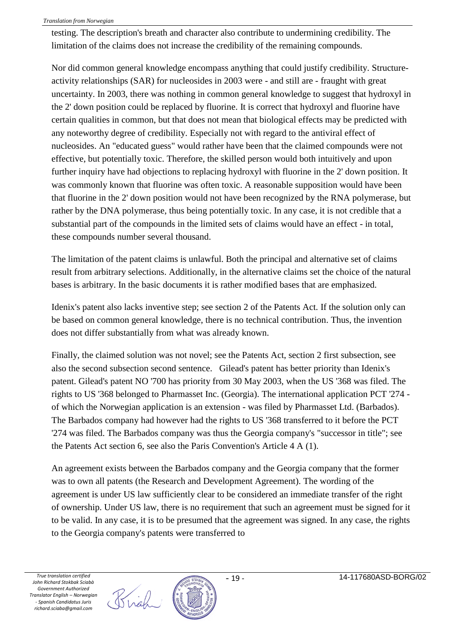testing. The description's breath and character also contribute to undermining credibility. The limitation of the claims does not increase the credibility of the remaining compounds.

Nor did common general knowledge encompass anything that could justify credibility. Structureactivity relationships (SAR) for nucleosides in 2003 were - and still are - fraught with great uncertainty. In 2003, there was nothing in common general knowledge to suggest that hydroxyl in the 2' down position could be replaced by fluorine. It is correct that hydroxyl and fluorine have certain qualities in common, but that does not mean that biological effects may be predicted with any noteworthy degree of credibility. Especially not with regard to the antiviral effect of nucleosides. An "educated guess" would rather have been that the claimed compounds were not effective, but potentially toxic. Therefore, the skilled person would both intuitively and upon further inquiry have had objections to replacing hydroxyl with fluorine in the 2' down position. It was commonly known that fluorine was often toxic. A reasonable supposition would have been that fluorine in the 2' down position would not have been recognized by the RNA polymerase, but rather by the DNA polymerase, thus being potentially toxic. In any case, it is not credible that a substantial part of the compounds in the limited sets of claims would have an effect - in total, these compounds number several thousand.

The limitation of the patent claims is unlawful. Both the principal and alternative set of claims result from arbitrary selections. Additionally, in the alternative claims set the choice of the natural bases is arbitrary. In the basic documents it is rather modified bases that are emphasized.

Idenix's patent also lacks inventive step; see section 2 of the Patents Act. If the solution only can be based on common general knowledge, there is no technical contribution. Thus, the invention does not differ substantially from what was already known.

Finally, the claimed solution was not novel; see the Patents Act, section 2 first subsection, see also the second subsection second sentence. Gilead's patent has better priority than Idenix's patent. Gilead's patent NO '700 has priority from 30 May 2003, when the US '368 was filed. The rights to US '368 belonged to Pharmasset Inc. (Georgia). The international application PCT '274 of which the Norwegian application is an extension - was filed by Pharmasset Ltd. (Barbados). The Barbados company had however had the rights to US '368 transferred to it before the PCT '274 was filed. The Barbados company was thus the Georgia company's "successor in title"; see the Patents Act section 6, see also the Paris Convention's Article 4 A (1).

An agreement exists between the Barbados company and the Georgia company that the former was to own all patents (the Research and Development Agreement). The wording of the agreement is under US law sufficiently clear to be considered an immediate transfer of the right of ownership. Under US law, there is no requirement that such an agreement must be signed for it to be valid. In any case, it is to be presumed that the agreement was signed. In any case, the rights to the Georgia company's patents were transferred to

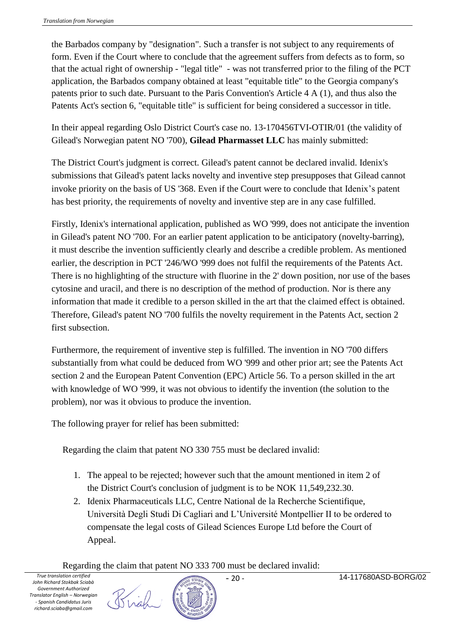the Barbados company by "designation". Such a transfer is not subject to any requirements of form. Even if the Court where to conclude that the agreement suffers from defects as to form, so that the actual right of ownership - "legal title" - was not transferred prior to the filing of the PCT application, the Barbados company obtained at least "equitable title" to the Georgia company's patents prior to such date. Pursuant to the Paris Convention's Article 4 A (1), and thus also the Patents Act's section 6, "equitable title" is sufficient for being considered a successor in title.

In their appeal regarding Oslo District Court's case no. 13-170456TVI-OTIR/01 (the validity of Gilead's Norwegian patent NO '700), **Gilead Pharmasset LLC** has mainly submitted:

The District Court's judgment is correct. Gilead's patent cannot be declared invalid. Idenix's submissions that Gilead's patent lacks novelty and inventive step presupposes that Gilead cannot invoke priority on the basis of US '368. Even if the Court were to conclude that Idenix's patent has best priority, the requirements of novelty and inventive step are in any case fulfilled.

Firstly, Idenix's international application, published as WO '999, does not anticipate the invention in Gilead's patent NO '700. For an earlier patent application to be anticipatory (novelty-barring), it must describe the invention sufficiently clearly and describe a credible problem. As mentioned earlier, the description in PCT '246/WO '999 does not fulfil the requirements of the Patents Act. There is no highlighting of the structure with fluorine in the 2' down position, nor use of the bases cytosine and uracil, and there is no description of the method of production. Nor is there any information that made it credible to a person skilled in the art that the claimed effect is obtained. Therefore, Gilead's patent NO '700 fulfils the novelty requirement in the Patents Act, section 2 first subsection.

Furthermore, the requirement of inventive step is fulfilled. The invention in NO '700 differs substantially from what could be deduced from WO '999 and other prior art; see the Patents Act section 2 and the European Patent Convention (EPC) Article 56. To a person skilled in the art with knowledge of WO '999, it was not obvious to identify the invention (the solution to the problem), nor was it obvious to produce the invention.

The following prayer for relief has been submitted:

Regarding the claim that patent NO 330 755 must be declared invalid:

- 1. The appeal to be rejected; however such that the amount mentioned in item 2 of the District Court's conclusion of judgment is to be NOK 11,549,232.30.
- 2. Idenix Pharmaceuticals LLC, Centre National de la Recherche Scientifique, Università Degli Studi Di Cagliari and L'Université Montpellier II to be ordered to compensate the legal costs of Gilead Sciences Europe Ltd before the Court of Appeal.

Regarding the claim that patent NO 333 700 must be declared invalid:

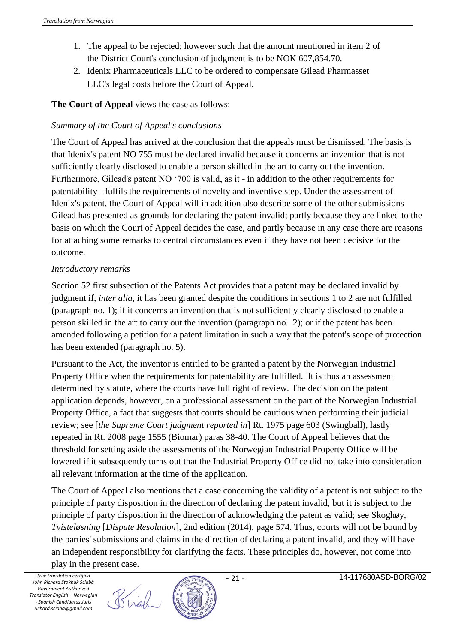- 1. The appeal to be rejected; however such that the amount mentioned in item 2 of the District Court's conclusion of judgment is to be NOK 607,854.70.
- 2. Idenix Pharmaceuticals LLC to be ordered to compensate Gilead Pharmasset LLC's legal costs before the Court of Appeal.

## **The Court of Appeal** views the case as follows:

### *Summary of the Court of Appeal's conclusions*

The Court of Appeal has arrived at the conclusion that the appeals must be dismissed. The basis is that Idenix's patent NO 755 must be declared invalid because it concerns an invention that is not sufficiently clearly disclosed to enable a person skilled in the art to carry out the invention. Furthermore, Gilead's patent NO '700 is valid, as it - in addition to the other requirements for patentability - fulfils the requirements of novelty and inventive step. Under the assessment of Idenix's patent, the Court of Appeal will in addition also describe some of the other submissions Gilead has presented as grounds for declaring the patent invalid; partly because they are linked to the basis on which the Court of Appeal decides the case, and partly because in any case there are reasons for attaching some remarks to central circumstances even if they have not been decisive for the outcome.

#### *Introductory remarks*

Section 52 first subsection of the Patents Act provides that a patent may be declared invalid by judgment if, *inter alia*, it has been granted despite the conditions in sections 1 to 2 are not fulfilled (paragraph no. 1); if it concerns an invention that is not sufficiently clearly disclosed to enable a person skilled in the art to carry out the invention (paragraph no. 2); or if the patent has been amended following a petition for a patent limitation in such a way that the patent's scope of protection has been extended (paragraph no. 5).

Pursuant to the Act, the inventor is entitled to be granted a patent by the Norwegian Industrial Property Office when the requirements for patentability are fulfilled. It is thus an assessment determined by statute, where the courts have full right of review. The decision on the patent application depends, however, on a professional assessment on the part of the Norwegian Industrial Property Office, a fact that suggests that courts should be cautious when performing their judicial review; see [*the Supreme Court judgment reported in*] Rt. 1975 page 603 (Swingball), lastly repeated in Rt. 2008 page 1555 (Biomar) paras 38-40. The Court of Appeal believes that the threshold for setting aside the assessments of the Norwegian Industrial Property Office will be lowered if it subsequently turns out that the Industrial Property Office did not take into consideration all relevant information at the time of the application.

The Court of Appeal also mentions that a case concerning the validity of a patent is not subject to the principle of party disposition in the direction of declaring the patent invalid, but it is subject to the principle of party disposition in the direction of acknowledging the patent as valid; see Skoghøy, *Tvisteløsning* [*Dispute Resolution*], 2nd edition (2014), page 574. Thus, courts will not be bound by the parties' submissions and claims in the direction of declaring a patent invalid, and they will have an independent responsibility for clarifying the facts. These principles do, however, not come into play in the present case.

Birgh

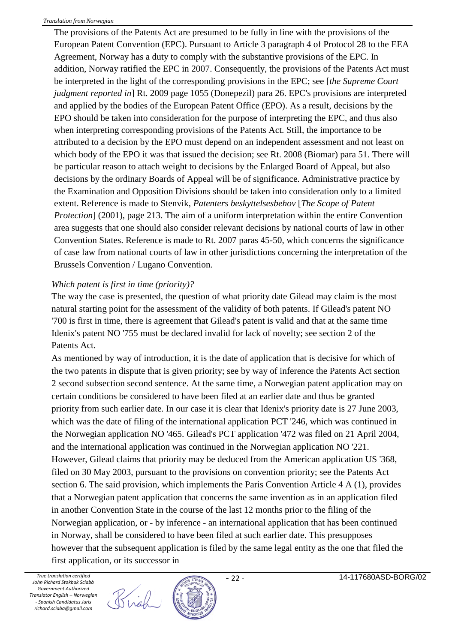The provisions of the Patents Act are presumed to be fully in line with the provisions of the European Patent Convention (EPC). Pursuant to Article 3 paragraph 4 of Protocol 28 to the EEA Agreement, Norway has a duty to comply with the substantive provisions of the EPC. In addition, Norway ratified the EPC in 2007. Consequently, the provisions of the Patents Act must be interpreted in the light of the corresponding provisions in the EPC; see [*the Supreme Court judgment reported in*] Rt. 2009 page 1055 (Donepezil) para 26. EPC's provisions are interpreted and applied by the bodies of the European Patent Office (EPO). As a result, decisions by the EPO should be taken into consideration for the purpose of interpreting the EPC, and thus also when interpreting corresponding provisions of the Patents Act. Still, the importance to be attributed to a decision by the EPO must depend on an independent assessment and not least on which body of the EPO it was that issued the decision; see Rt. 2008 (Biomar) para 51. There will be particular reason to attach weight to decisions by the Enlarged Board of Appeal, but also decisions by the ordinary Boards of Appeal will be of significance. Administrative practice by the Examination and Opposition Divisions should be taken into consideration only to a limited extent. Reference is made to Stenvik, *Patenters beskyttelsesbehov* [*The Scope of Patent Protection*] (2001), page 213. The aim of a uniform interpretation within the entire Convention area suggests that one should also consider relevant decisions by national courts of law in other Convention States. Reference is made to Rt. 2007 paras 45-50, which concerns the significance of case law from national courts of law in other jurisdictions concerning the interpretation of the Brussels Convention / Lugano Convention.

#### *Which patent is first in time (priority)?*

The way the case is presented, the question of what priority date Gilead may claim is the most natural starting point for the assessment of the validity of both patents. If Gilead's patent NO '700 is first in time, there is agreement that Gilead's patent is valid and that at the same time Idenix's patent NO '755 must be declared invalid for lack of novelty; see section 2 of the Patents Act.

As mentioned by way of introduction, it is the date of application that is decisive for which of the two patents in dispute that is given priority; see by way of inference the Patents Act section 2 second subsection second sentence. At the same time, a Norwegian patent application may on certain conditions be considered to have been filed at an earlier date and thus be granted priority from such earlier date. In our case it is clear that Idenix's priority date is 27 June 2003, which was the date of filing of the international application PCT '246, which was continued in the Norwegian application NO '465. Gilead's PCT application '472 was filed on 21 April 2004, and the international application was continued in the Norwegian application NO '221. However, Gilead claims that priority may be deduced from the American application US '368, filed on 30 May 2003, pursuant to the provisions on convention priority; see the Patents Act section 6. The said provision, which implements the Paris Convention Article 4 A (1), provides that a Norwegian patent application that concerns the same invention as in an application filed in another Convention State in the course of the last 12 months prior to the filing of the Norwegian application, or - by inference - an international application that has been continued in Norway, shall be considered to have been filed at such earlier date. This presupposes however that the subsequent application is filed by the same legal entity as the one that filed the first application, or its successor in

Brigh

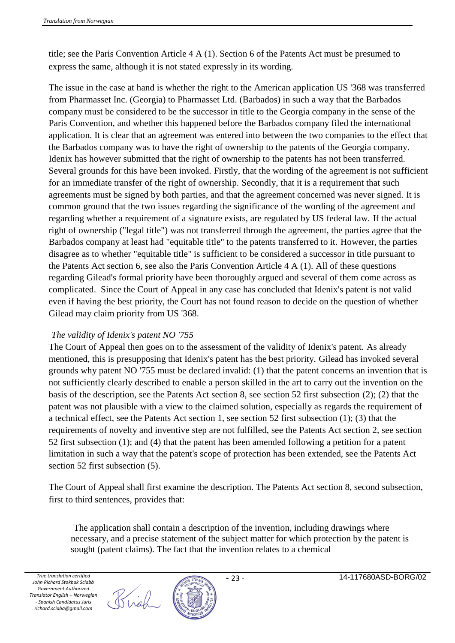title; see the Paris Convention Article 4 A (1). Section 6 of the Patents Act must be presumed to express the same, although it is not stated expressly in its wording.

The issue in the case at hand is whether the right to the American application US '368 was transferred from Pharmasset Inc. (Georgia) to Pharmasset Ltd. (Barbados) in such a way that the Barbados company must be considered to be the successor in title to the Georgia company in the sense of the Paris Convention, and whether this happened before the Barbados company filed the international application. It is clear that an agreement was entered into between the two companies to the effect that the Barbados company was to have the right of ownership to the patents of the Georgia company. Idenix has however submitted that the right of ownership to the patents has not been transferred. Several grounds for this have been invoked. Firstly, that the wording of the agreement is not sufficient for an immediate transfer of the right of ownership. Secondly, that it is a requirement that such agreements must be signed by both parties, and that the agreement concerned was never signed. It is common ground that the two issues regarding the significance of the wording of the agreement and regarding whether a requirement of a signature exists, are regulated by US federal law. If the actual right of ownership ("legal title") was not transferred through the agreement, the parties agree that the Barbados company at least had "equitable title" to the patents transferred to it. However, the parties disagree as to whether "equitable title" is sufficient to be considered a successor in title pursuant to the Patents Act section 6, see also the Paris Convention Article 4 A (1). All of these questions regarding Gilead's formal priority have been thoroughly argued and several of them come across as complicated. Since the Court of Appeal in any case has concluded that Idenix's patent is not valid even if having the best priority, the Court has not found reason to decide on the question of whether Gilead may claim priority from US '368.

#### *The validity of Idenix's patent NO '755*

The Court of Appeal then goes on to the assessment of the validity of Idenix's patent. As already mentioned, this is presupposing that Idenix's patent has the best priority. Gilead has invoked several grounds why patent NO '755 must be declared invalid: (1) that the patent concerns an invention that is not sufficiently clearly described to enable a person skilled in the art to carry out the invention on the basis of the description, see the Patents Act section 8, see section 52 first subsection (2); (2) that the patent was not plausible with a view to the claimed solution, especially as regards the requirement of a technical effect, see the Patents Act section 1, see section 52 first subsection (1); (3) that the requirements of novelty and inventive step are not fulfilled, see the Patents Act section 2, see section 52 first subsection (1); and (4) that the patent has been amended following a petition for a patent limitation in such a way that the patent's scope of protection has been extended, see the Patents Act section 52 first subsection (5).

The Court of Appeal shall first examine the description. The Patents Act section 8, second subsection, first to third sentences, provides that:

The application shall contain a description of the invention, including drawings where necessary, and a precise statement of the subject matter for which protection by the patent is sought (patent claims). The fact that the invention relates to a chemical

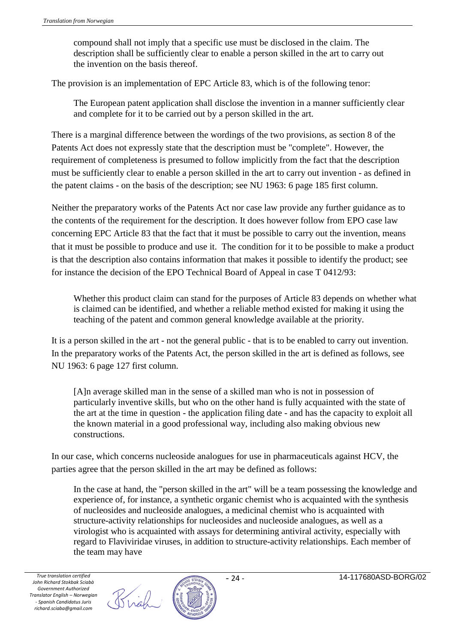compound shall not imply that a specific use must be disclosed in the claim. The description shall be sufficiently clear to enable a person skilled in the art to carry out the invention on the basis thereof.

The provision is an implementation of EPC Article 83, which is of the following tenor:

The European patent application shall disclose the invention in a manner sufficiently clear and complete for it to be carried out by a person skilled in the art.

There is a marginal difference between the wordings of the two provisions, as section 8 of the Patents Act does not expressly state that the description must be "complete". However, the requirement of completeness is presumed to follow implicitly from the fact that the description must be sufficiently clear to enable a person skilled in the art to carry out invention - as defined in the patent claims - on the basis of the description; see NU 1963: 6 page 185 first column.

Neither the preparatory works of the Patents Act nor case law provide any further guidance as to the contents of the requirement for the description. It does however follow from EPO case law concerning EPC Article 83 that the fact that it must be possible to carry out the invention, means that it must be possible to produce and use it. The condition for it to be possible to make a product is that the description also contains information that makes it possible to identify the product; see for instance the decision of the EPO Technical Board of Appeal in case T 0412/93:

Whether this product claim can stand for the purposes of Article 83 depends on whether what is claimed can be identified, and whether a reliable method existed for making it using the teaching of the patent and common general knowledge available at the priority.

It is a person skilled in the art - not the general public - that is to be enabled to carry out invention. In the preparatory works of the Patents Act, the person skilled in the art is defined as follows, see NU 1963: 6 page 127 first column.

[A]n average skilled man in the sense of a skilled man who is not in possession of particularly inventive skills, but who on the other hand is fully acquainted with the state of the art at the time in question - the application filing date - and has the capacity to exploit all the known material in a good professional way, including also making obvious new constructions.

In our case, which concerns nucleoside analogues for use in pharmaceuticals against HCV, the parties agree that the person skilled in the art may be defined as follows:

In the case at hand, the "person skilled in the art" will be a team possessing the knowledge and experience of, for instance, a synthetic organic chemist who is acquainted with the synthesis of nucleosides and nucleoside analogues, a medicinal chemist who is acquainted with structure-activity relationships for nucleosides and nucleoside analogues, as well as a virologist who is acquainted with assays for determining antiviral activity, especially with regard to Flaviviridae viruses, in addition to structure-activity relationships. Each member of the team may have



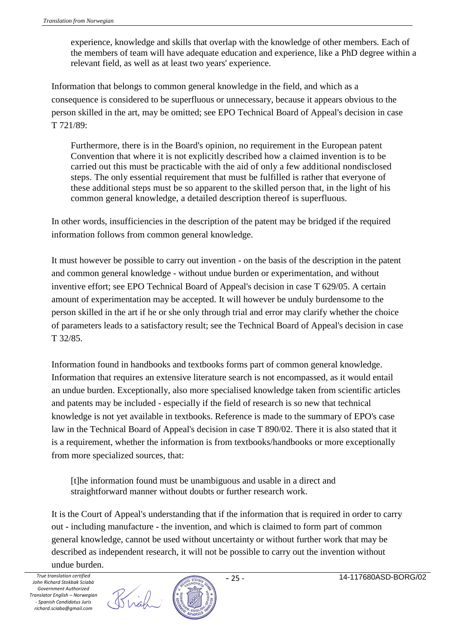experience, knowledge and skills that overlap with the knowledge of other members. Each of the members of team will have adequate education and experience, like a PhD degree within a relevant field, as well as at least two years' experience.

Information that belongs to common general knowledge in the field, and which as a consequence is considered to be superfluous or unnecessary, because it appears obvious to the person skilled in the art, may be omitted; see EPO Technical Board of Appeal's decision in case T 721/89:

Furthermore, there is in the Board's opinion, no requirement in the European patent Convention that where it is not explicitly described how a claimed invention is to be carried out this must be practicable with the aid of only a few additional nondisclosed steps. The only essential requirement that must be fulfilled is rather that everyone of these additional steps must be so apparent to the skilled person that, in the light of his common general knowledge, a detailed description thereof is superfluous.

In other words, insufficiencies in the description of the patent may be bridged if the required information follows from common general knowledge.

It must however be possible to carry out invention - on the basis of the description in the patent and common general knowledge - without undue burden or experimentation, and without inventive effort; see EPO Technical Board of Appeal's decision in case T 629/05. A certain amount of experimentation may be accepted. It will however be unduly burdensome to the person skilled in the art if he or she only through trial and error may clarify whether the choice of parameters leads to a satisfactory result; see the Technical Board of Appeal's decision in case T 32/85.

Information found in handbooks and textbooks forms part of common general knowledge. Information that requires an extensive literature search is not encompassed, as it would entail an undue burden. Exceptionally, also more specialised knowledge taken from scientific articles and patents may be included - especially if the field of research is so new that technical knowledge is not yet available in textbooks. Reference is made to the summary of EPO's case law in the Technical Board of Appeal's decision in case T 890/02. There it is also stated that it is a requirement, whether the information is from textbooks/handbooks or more exceptionally from more specialized sources, that:

[t]he information found must be unambiguous and usable in a direct and straightforward manner without doubts or further research work.

It is the Court of Appeal's understanding that if the information that is required in order to carry out - including manufacture - the invention, and which is claimed to form part of common general knowledge, cannot be used without uncertainty or without further work that may be described as independent research, it will not be possible to carry out the invention without undue burden.

Brigh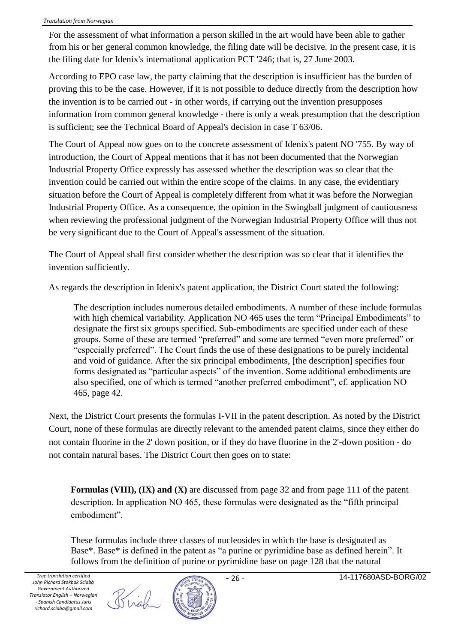For the assessment of what information a person skilled in the art would have been able to gather from his or her general common knowledge, the filing date will be decisive. In the present case, it is the filing date for Idenix's international application PCT '246; that is, 27 June 2003.

According to EPO case law, the party claiming that the description is insufficient has the burden of proving this to be the case. However, if it is not possible to deduce directly from the description how the invention is to be carried out - in other words, if carrying out the invention presupposes information from common general knowledge - there is only a weak presumption that the description is sufficient; see the Technical Board of Appeal's decision in case T 63/06.

The Court of Appeal now goes on to the concrete assessment of Idenix's patent NO '755. By way of introduction, the Court of Appeal mentions that it has not been documented that the Norwegian Industrial Property Office expressly has assessed whether the description was so clear that the invention could be carried out within the entire scope of the claims. In any case, the evidentiary situation before the Court of Appeal is completely different from what it was before the Norwegian Industrial Property Office. As a consequence, the opinion in the Swingball judgment of cautiousness when reviewing the professional judgment of the Norwegian Industrial Property Office will thus not be very significant due to the Court of Appeal's assessment of the situation.

The Court of Appeal shall first consider whether the description was so clear that it identifies the invention sufficiently.

As regards the description in Idenix's patent application, the District Court stated the following:

The description includes numerous detailed embodiments. A number of these include formulas with high chemical variability. Application NO 465 uses the term "Principal Embodiments" to designate the first six groups specified. Sub-embodiments are specified under each of these groups. Some of these are termed "preferred" and some are termed "even more preferred" or "especially preferred". The Court finds the use of these designations to be purely incidental and void of guidance. After the six principal embodiments, [the description] specifies four forms designated as "particular aspects" of the invention. Some additional embodiments are also specified, one of which is termed "another preferred embodiment", cf. application NO 465, page 42.

Next, the District Court presents the formulas I-VII in the patent description. As noted by the District Court, none of these formulas are directly relevant to the amended patent claims, since they either do not contain fluorine in the 2' down position, or if they do have fluorine in the 2'-down position - do not contain natural bases. The District Court then goes on to state:

**Formulas (VIII), (IX) and (X)** are discussed from page 32 and from page 111 of the patent description. In application NO 465, these formulas were designated as the "fifth principal embodiment".

These formulas include three classes of nucleosides in which the base is designated as Base\*. Base\* is defined in the patent as "a purine or pyrimidine base as defined herein". It follows from the definition of purine or pyrimidine base on page 128 that the natural

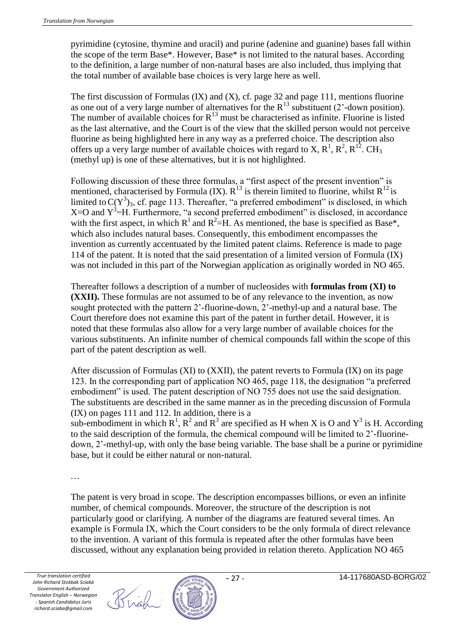pyrimidine (cytosine, thymine and uracil) and purine (adenine and guanine) bases fall within the scope of the term Base\*. However, Base\* is not limited to the natural bases. According to the definition, a large number of non-natural bases are also included, thus implying that the total number of available base choices is very large here as well.

The first discussion of Formulas (IX) and (X), cf. page 32 and page 111, mentions fluorine as one out of a very large number of alternatives for the  $R^{13}$  substituent (2'-down position). The number of available choices for  $R^{13}$  must be characterised as infinite. Fluorine is listed as the last alternative, and the Court is of the view that the skilled person would not perceive fluorine as being highlighted here in any way as a preferred choice. The description also offers up a very large number of available choices with regard to X,  $R^1$ ,  $R^2$ ,  $R^{12}$ . CH<sub>3</sub> (methyl up) is one of these alternatives, but it is not highlighted.

Following discussion of these three formulas, a "first aspect of the present invention" is mentioned, characterised by Formula (IX).  $R^{13}$  is therein limited to fluorine, whilst  $R^{12}$  is limited to  $C(Y^3)_3$ , cf. page 113. Thereafter, "a preferred embodiment" is disclosed, in which  $X=O$  and  $Y^3=H$ . Furthermore, "a second preferred embodiment" is disclosed, in accordance with the first aspect, in which  $R^1$  and  $R^2 = H$ . As mentioned, the base is specified as Base\*, which also includes natural bases. Consequently, this embodiment encompasses the invention as currently accentuated by the limited patent claims. Reference is made to page 114 of the patent. It is noted that the said presentation of a limited version of Formula (IX) was not included in this part of the Norwegian application as originally worded in NO 465.

Thereafter follows a description of a number of nucleosides with **formulas from (XI) to (XXII).** These formulas are not assumed to be of any relevance to the invention, as now sought protected with the pattern 2'-fluorine-down, 2'-methyl-up and a natural base. The Court therefore does not examine this part of the patent in further detail. However, it is noted that these formulas also allow for a very large number of available choices for the various substituents. An infinite number of chemical compounds fall within the scope of this part of the patent description as well.

After discussion of Formulas (XI) to (XXII), the patent reverts to Formula (IX) on its page 123. In the corresponding part of application NO 465, page 118, the designation "a preferred embodiment" is used. The patent description of NO 755 does not use the said designation. The substituents are described in the same manner as in the preceding discussion of Formula (IX) on pages 111 and 112. In addition, there is a sub-embodiment in which  $R^1$ ,  $R^2$  and  $R^3$  are specified as H when X is O and  $Y^3$  is H. According

to the said description of the formula, the chemical compound will be limited to 2'-fluorinedown, 2'-methyl-up, with only the base being variable. The base shall be a purine or pyrimidine base, but it could be either natural or non-natural.

...

The patent is very broad in scope. The description encompasses billions, or even an infinite number, of chemical compounds. Moreover, the structure of the description is not particularly good or clarifying. A number of the diagrams are featured several times. An example is Formula IX, which the Court considers to be the only formula of direct relevance to the invention. A variant of this formula is repeated after the other formulas have been discussed, without any explanation being provided in relation thereto. Application NO 465



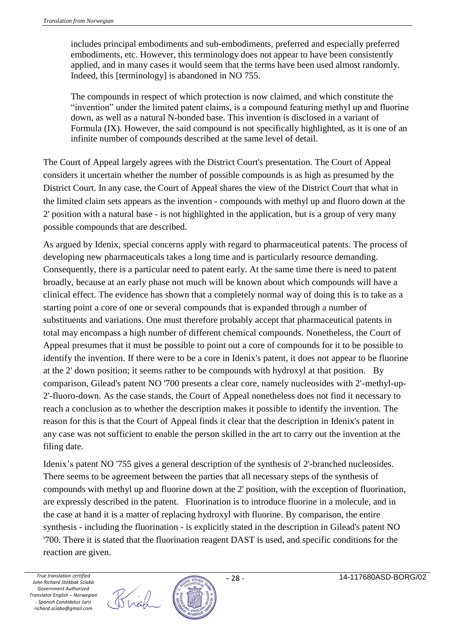includes principal embodiments and sub-embodiments, preferred and especially preferred embodiments, etc. However, this terminology does not appear to have been consistently applied, and in many cases it would seem that the terms have been used almost randomly. Indeed, this [terminology] is abandoned in NO 755.

The compounds in respect of which protection is now claimed, and which constitute the "invention" under the limited patent claims, is a compound featuring methyl up and fluorine down, as well as a natural N-bonded base. This invention is disclosed in a variant of Formula (IX). However, the said compound is not specifically highlighted, as it is one of an infinite number of compounds described at the same level of detail.

The Court of Appeal largely agrees with the District Court's presentation. The Court of Appeal considers it uncertain whether the number of possible compounds is as high as presumed by the District Court. In any case, the Court of Appeal shares the view of the District Court that what in the limited claim sets appears as the invention - compounds with methyl up and fluoro down at the 2' position with a natural base - is not highlighted in the application, but is a group of very many possible compounds that are described.

As argued by Idenix, special concerns apply with regard to pharmaceutical patents. The process of developing new pharmaceuticals takes a long time and is particularly resource demanding. Consequently, there is a particular need to patent early. At the same time there is need to patent broadly, because at an early phase not much will be known about which compounds will have a clinical effect. The evidence has shown that a completely normal way of doing this is to take as a starting point a core of one or several compounds that is expanded through a number of substituents and variations. One must therefore probably accept that pharmaceutical patents in total may encompass a high number of different chemical compounds. Nonetheless, the Court of Appeal presumes that it must be possible to point out a core of compounds for it to be possible to identify the invention. If there were to be a core in Idenix's patent, it does not appear to be fluorine at the 2' down position; it seems rather to be compounds with hydroxyl at that position. By comparison, Gilead's patent NO '700 presents a clear core, namely nucleosides with 2'-methyl-up-2'-fluoro-down. As the case stands, the Court of Appeal nonetheless does not find it necessary to reach a conclusion as to whether the description makes it possible to identify the invention. The reason for this is that the Court of Appeal finds it clear that the description in Idenix's patent in any case was not sufficient to enable the person skilled in the art to carry out the invention at the filing date.

Idenix's patent NO '755 gives a general description of the synthesis of 2'-branched nucleosides. There seems to be agreement between the parties that all necessary steps of the synthesis of compounds with methyl up and fluorine down at the 2' position, with the exception of fluorination, are expressly described in the patent. Fluorination is to introduce fluorine in a molecule, and in the case at hand it is a matter of replacing hydroxyl with fluorine. By comparison, the entire synthesis - including the fluorination - is explicitly stated in the description in Gilead's patent NO '700. There it is stated that the fluorination reagent DAST is used, and specific conditions for the reaction are given.



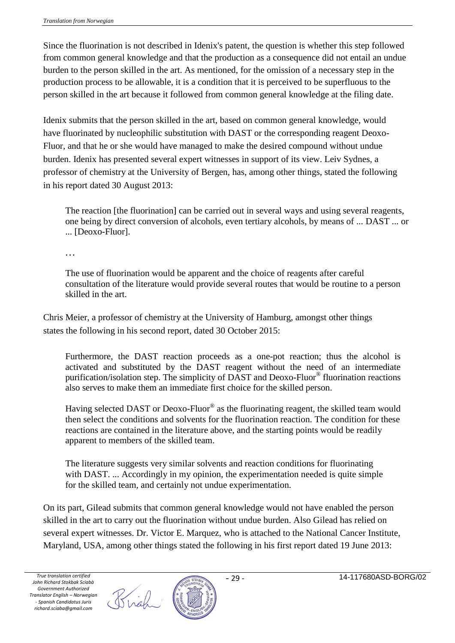Since the fluorination is not described in Idenix's patent, the question is whether this step followed from common general knowledge and that the production as a consequence did not entail an undue burden to the person skilled in the art. As mentioned, for the omission of a necessary step in the production process to be allowable, it is a condition that it is perceived to be superfluous to the person skilled in the art because it followed from common general knowledge at the filing date.

Idenix submits that the person skilled in the art, based on common general knowledge, would have fluorinated by nucleophilic substitution with DAST or the corresponding reagent Deoxo-Fluor, and that he or she would have managed to make the desired compound without undue burden. Idenix has presented several expert witnesses in support of its view. Leiv Sydnes, a professor of chemistry at the University of Bergen, has, among other things, stated the following in his report dated 30 August 2013:

The reaction [the fluorination] can be carried out in several ways and using several reagents, one being by direct conversion of alcohols, even tertiary alcohols, by means of ... DAST ... or ... [Deoxo-Fluor].

...

The use of fluorination would be apparent and the choice of reagents after careful consultation of the literature would provide several routes that would be routine to a person skilled in the art.

Chris Meier, a professor of chemistry at the University of Hamburg, amongst other things states the following in his second report, dated 30 October 2015:

Furthermore, the DAST reaction proceeds as a one-pot reaction; thus the alcohol is activated and substituted by the DAST reagent without the need of an intermediate purification/isolation step. The simplicity of DAST and Deoxo-Fluor® fluorination reactions also serves to make them an immediate first choice for the skilled person.

Having selected DAST or Deoxo-Fluor® as the fluorinating reagent, the skilled team would then select the conditions and solvents for the fluorination reaction. The condition for these reactions are contained in the literature above, and the starting points would be readily apparent to members of the skilled team.

The literature suggests very similar solvents and reaction conditions for fluorinating with DAST. ... Accordingly in my opinion, the experimentation needed is quite simple for the skilled team, and certainly not undue experimentation.

On its part, Gilead submits that common general knowledge would not have enabled the person skilled in the art to carry out the fluorination without undue burden. Also Gilead has relied on several expert witnesses. Dr. Victor E. Marquez, who is attached to the National Cancer Institute, Maryland, USA, among other things stated the following in his first report dated 19 June 2013:

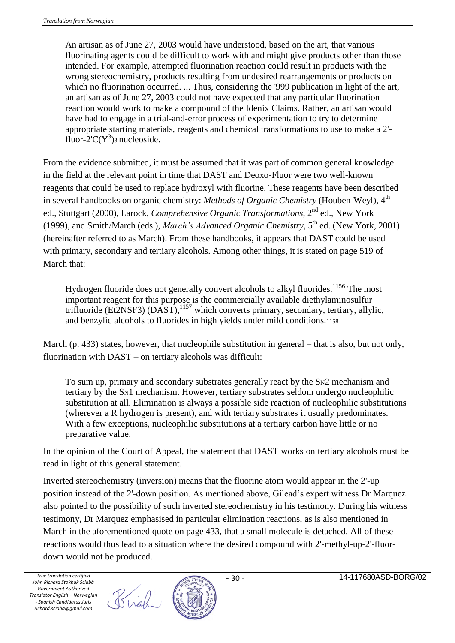An artisan as of June 27, 2003 would have understood, based on the art, that various fluorinating agents could be difficult to work with and might give products other than those intended. For example, attempted fluorination reaction could result in products with the wrong stereochemistry, products resulting from undesired rearrangements or products on which no fluorination occurred. ... Thus, considering the '999 publication in light of the art, an artisan as of June 27, 2003 could not have expected that any particular fluorination reaction would work to make a compound of the Idenix Claims. Rather, an artisan would have had to engage in a trial-and-error process of experimentation to try to determine appropriate starting materials, reagents and chemical transformations to use to make a 2' fluor- $2^{\prime}C(Y^3)$ <sub>3</sub> nucleoside.

From the evidence submitted, it must be assumed that it was part of common general knowledge in the field at the relevant point in time that DAST and Deoxo-Fluor were two well-known reagents that could be used to replace hydroxyl with fluorine. These reagents have been described in several handbooks on organic chemistry: *Methods of Organic Chemistry* (Houben-Weyl), 4<sup>th</sup> ed., Stuttgart (2000), Larock, *Comprehensive Organic Transformations*, 2nd ed., New York (1999), and Smith/March (eds.), *March's Advanced Organic Chemistry*,  $5<sup>th</sup>$  ed. (New York, 2001) (hereinafter referred to as March). From these handbooks, it appears that DAST could be used with primary, secondary and tertiary alcohols. Among other things, it is stated on page 519 of March that:

Hydrogen fluoride does not generally convert alcohols to alkyl fluorides.<sup>1156</sup> The most important reagent for this purpose is the commercially available diethylaminosulfur trifluoride (Et2NSF3) (DAST),<sup>1157</sup> which converts primary, secondary, tertiary, allylic, and benzylic alcohols to fluorides in high yields under mild conditions.<sup>1158</sup>

March (p. 433) states, however, that nucleophile substitution in general – that is also, but not only, fluorination with DAST – on tertiary alcohols was difficult:

To sum up, primary and secondary substrates generally react by the SN2 mechanism and tertiary by the SN1 mechanism. However, tertiary substrates seldom undergo nucleophilic substitution at all. Elimination is always a possible side reaction of nucleophilic substitutions (wherever a R hydrogen is present), and with tertiary substrates it usually predominates. With a few exceptions, nucleophilic substitutions at a tertiary carbon have little or no preparative value.

In the opinion of the Court of Appeal, the statement that DAST works on tertiary alcohols must be read in light of this general statement.

Inverted stereochemistry (inversion) means that the fluorine atom would appear in the 2'-up position instead of the 2'-down position. As mentioned above, Gilead's expert witness Dr Marquez also pointed to the possibility of such inverted stereochemistry in his testimony. During his witness testimony, Dr Marquez emphasised in particular elimination reactions, as is also mentioned in March in the aforementioned quote on page 433, that a small molecule is detached. All of these reactions would thus lead to a situation where the desired compound with 2'-methyl-up-2'-fluordown would not be produced.

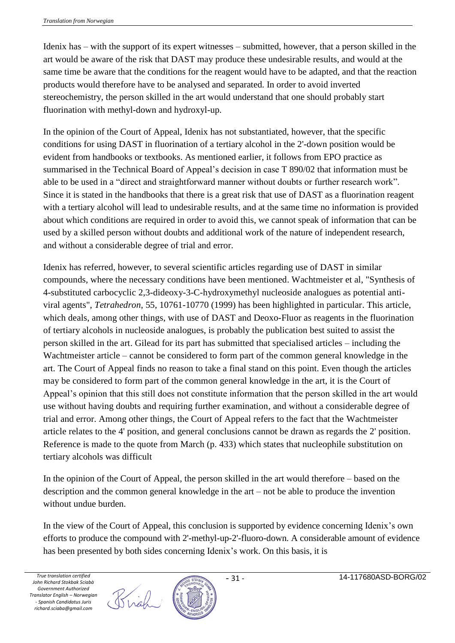Idenix has – with the support of its expert witnesses – submitted, however, that a person skilled in the art would be aware of the risk that DAST may produce these undesirable results, and would at the same time be aware that the conditions for the reagent would have to be adapted, and that the reaction products would therefore have to be analysed and separated. In order to avoid inverted stereochemistry, the person skilled in the art would understand that one should probably start fluorination with methyl-down and hydroxyl-up.

In the opinion of the Court of Appeal, Idenix has not substantiated, however, that the specific conditions for using DAST in fluorination of a tertiary alcohol in the 2'-down position would be evident from handbooks or textbooks. As mentioned earlier, it follows from EPO practice as summarised in the Technical Board of Appeal's decision in case T 890/02 that information must be able to be used in a "direct and straightforward manner without doubts or further research work". Since it is stated in the handbooks that there is a great risk that use of DAST as a fluorination reagent with a tertiary alcohol will lead to undesirable results, and at the same time no information is provided about which conditions are required in order to avoid this, we cannot speak of information that can be used by a skilled person without doubts and additional work of the nature of independent research, and without a considerable degree of trial and error.

Idenix has referred, however, to several scientific articles regarding use of DAST in similar compounds, where the necessary conditions have been mentioned. Wachtmeister et al, "Synthesis of 4-substituted carbocyclic 2,3-dideoxy-3-C-hydroxymethyl nucleoside analogues as potential antiviral agents", *Tetrahedron*, 55, 10761-10770 (1999) has been highlighted in particular. This article, which deals, among other things, with use of DAST and Deoxo-Fluor as reagents in the fluorination of tertiary alcohols in nucleoside analogues, is probably the publication best suited to assist the person skilled in the art. Gilead for its part has submitted that specialised articles – including the Wachtmeister article – cannot be considered to form part of the common general knowledge in the art. The Court of Appeal finds no reason to take a final stand on this point. Even though the articles may be considered to form part of the common general knowledge in the art, it is the Court of Appeal's opinion that this still does not constitute information that the person skilled in the art would use without having doubts and requiring further examination, and without a considerable degree of trial and error. Among other things, the Court of Appeal refers to the fact that the Wachtmeister article relates to the 4' position, and general conclusions cannot be drawn as regards the 2' position. Reference is made to the quote from March (p. 433) which states that nucleophile substitution on tertiary alcohols was difficult

In the opinion of the Court of Appeal, the person skilled in the art would therefore – based on the description and the common general knowledge in the art – not be able to produce the invention without undue burden.

In the view of the Court of Appeal, this conclusion is supported by evidence concerning Idenix's own efforts to produce the compound with 2'-methyl-up-2'-fluoro-down. A considerable amount of evidence has been presented by both sides concerning Idenix's work. On this basis, it is

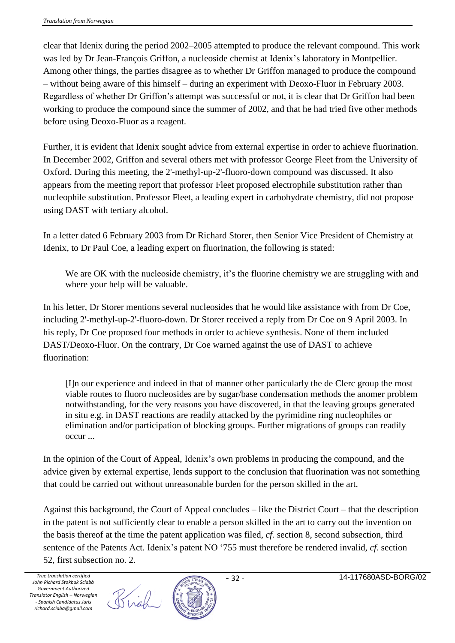clear that Idenix during the period 2002–2005 attempted to produce the relevant compound. This work was led by Dr Jean-François Griffon, a nucleoside chemist at Idenix's laboratory in Montpellier. Among other things, the parties disagree as to whether Dr Griffon managed to produce the compound – without being aware of this himself – during an experiment with Deoxo-Fluor in February 2003. Regardless of whether Dr Griffon's attempt was successful or not, it is clear that Dr Griffon had been working to produce the compound since the summer of 2002, and that he had tried five other methods before using Deoxo-Fluor as a reagent.

Further, it is evident that Idenix sought advice from external expertise in order to achieve fluorination. In December 2002, Griffon and several others met with professor George Fleet from the University of Oxford. During this meeting, the 2'-methyl-up-2'-fluoro-down compound was discussed. It also appears from the meeting report that professor Fleet proposed electrophile substitution rather than nucleophile substitution. Professor Fleet, a leading expert in carbohydrate chemistry, did not propose using DAST with tertiary alcohol.

In a letter dated 6 February 2003 from Dr Richard Storer, then Senior Vice President of Chemistry at Idenix, to Dr Paul Coe, a leading expert on fluorination, the following is stated:

We are OK with the nucleoside chemistry, it's the fluorine chemistry we are struggling with and where your help will be valuable.

In his letter, Dr Storer mentions several nucleosides that he would like assistance with from Dr Coe, including 2'-methyl-up-2'-fluoro-down. Dr Storer received a reply from Dr Coe on 9 April 2003. In his reply, Dr Coe proposed four methods in order to achieve synthesis. None of them included DAST/Deoxo-Fluor. On the contrary, Dr Coe warned against the use of DAST to achieve fluorination:

[I]n our experience and indeed in that of manner other particularly the de Clerc group the most viable routes to fluoro nucleosides are by sugar/base condensation methods the anomer problem notwithstanding, for the very reasons you have discovered, in that the leaving groups generated in situ e.g. in DAST reactions are readily attacked by the pyrimidine ring nucleophiles or elimination and/or participation of blocking groups. Further migrations of groups can readily occur ...

In the opinion of the Court of Appeal, Idenix's own problems in producing the compound, and the advice given by external expertise, lends support to the conclusion that fluorination was not something that could be carried out without unreasonable burden for the person skilled in the art.

Against this background, the Court of Appeal concludes – like the District Court – that the description in the patent is not sufficiently clear to enable a person skilled in the art to carry out the invention on the basis thereof at the time the patent application was filed, *cf.* section 8, second subsection, third sentence of the Patents Act. Idenix's patent NO '755 must therefore be rendered invalid, *cf.* section 52, first subsection no. 2.

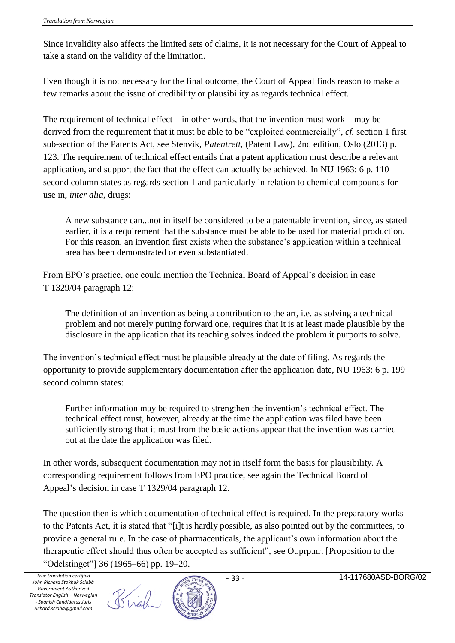Since invalidity also affects the limited sets of claims, it is not necessary for the Court of Appeal to take a stand on the validity of the limitation.

Even though it is not necessary for the final outcome, the Court of Appeal finds reason to make a few remarks about the issue of credibility or plausibility as regards technical effect.

The requirement of technical effect – in other words, that the invention must work – may be derived from the requirement that it must be able to be "exploited commercially", *cf.* section 1 first sub-section of the Patents Act, see Stenvik, *Patentrett,* (Patent Law), 2nd edition, Oslo (2013) p. 123. The requirement of technical effect entails that a patent application must describe a relevant application, and support the fact that the effect can actually be achieved. In NU 1963: 6 p. 110 second column states as regards section 1 and particularly in relation to chemical compounds for use in, *inter alia,* drugs:

A new substance can...not in itself be considered to be a patentable invention, since, as stated earlier, it is a requirement that the substance must be able to be used for material production. For this reason, an invention first exists when the substance's application within a technical area has been demonstrated or even substantiated.

From EPO's practice, one could mention the Technical Board of Appeal's decision in case T 1329/04 paragraph 12:

The definition of an invention as being a contribution to the art, i.e. as solving a technical problem and not merely putting forward one, requires that it is at least made plausible by the disclosure in the application that its teaching solves indeed the problem it purports to solve.

The invention's technical effect must be plausible already at the date of filing. As regards the opportunity to provide supplementary documentation after the application date, NU 1963: 6 p. 199 second column states:

Further information may be required to strengthen the invention's technical effect. The technical effect must, however, already at the time the application was filed have been sufficiently strong that it must from the basic actions appear that the invention was carried out at the date the application was filed.

In other words, subsequent documentation may not in itself form the basis for plausibility. A corresponding requirement follows from EPO practice, see again the Technical Board of Appeal's decision in case T 1329/04 paragraph 12.

The question then is which documentation of technical effect is required. In the preparatory works to the Patents Act, it is stated that "[i]t is hardly possible, as also pointed out by the committees, to provide a general rule. In the case of pharmaceuticals, the applicant's own information about the therapeutic effect should thus often be accepted as sufficient", see Ot.prp.nr. [Proposition to the "Odelstinget"] 36 (1965–66) pp. 19–20.

Brigh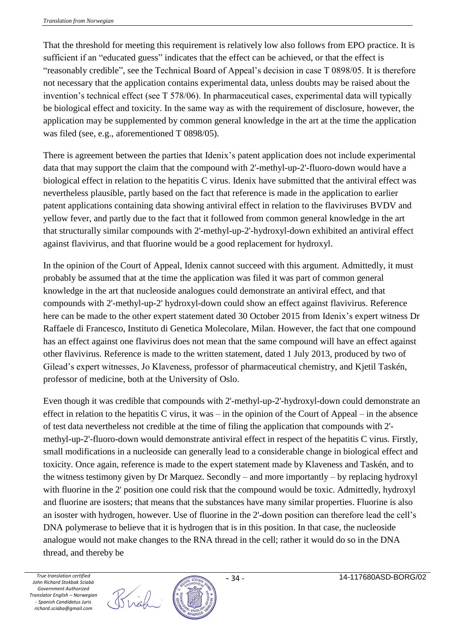That the threshold for meeting this requirement is relatively low also follows from EPO practice. It is sufficient if an "educated guess" indicates that the effect can be achieved, or that the effect is "reasonably credible", see the Technical Board of Appeal's decision in case T 0898/05. It is therefore not necessary that the application contains experimental data, unless doubts may be raised about the invention's technical effect (see T 578/06). In pharmaceutical cases, experimental data will typically be biological effect and toxicity. In the same way as with the requirement of disclosure, however, the application may be supplemented by common general knowledge in the art at the time the application was filed (see, e.g., aforementioned T 0898/05).

There is agreement between the parties that Idenix's patent application does not include experimental data that may support the claim that the compound with 2'-methyl-up-2'-fluoro-down would have a biological effect in relation to the hepatitis C virus. Idenix have submitted that the antiviral effect was nevertheless plausible, partly based on the fact that reference is made in the application to earlier patent applications containing data showing antiviral effect in relation to the flaviviruses BVDV and yellow fever, and partly due to the fact that it followed from common general knowledge in the art that structurally similar compounds with 2'-methyl-up-2'-hydroxyl-down exhibited an antiviral effect against flavivirus, and that fluorine would be a good replacement for hydroxyl.

In the opinion of the Court of Appeal, Idenix cannot succeed with this argument. Admittedly, it must probably be assumed that at the time the application was filed it was part of common general knowledge in the art that nucleoside analogues could demonstrate an antiviral effect, and that compounds with 2'-methyl-up-2' hydroxyl-down could show an effect against flavivirus. Reference here can be made to the other expert statement dated 30 October 2015 from Idenix's expert witness Dr Raffaele di Francesco, Instituto di Genetica Molecolare, Milan. However, the fact that one compound has an effect against one flavivirus does not mean that the same compound will have an effect against other flavivirus. Reference is made to the written statement, dated 1 July 2013, produced by two of Gilead's expert witnesses, Jo Klaveness, professor of pharmaceutical chemistry, and Kjetil Taskén, professor of medicine, both at the University of Oslo.

Even though it was credible that compounds with 2'-methyl-up-2'-hydroxyl-down could demonstrate an effect in relation to the hepatitis C virus, it was – in the opinion of the Court of Appeal – in the absence of test data nevertheless not credible at the time of filing the application that compounds with 2' methyl-up-2'-fluoro-down would demonstrate antiviral effect in respect of the hepatitis C virus. Firstly, small modifications in a nucleoside can generally lead to a considerable change in biological effect and toxicity. Once again, reference is made to the expert statement made by Klaveness and Taskén, and to the witness testimony given by Dr Marquez. Secondly – and more importantly – by replacing hydroxyl with fluorine in the 2' position one could risk that the compound would be toxic. Admittedly, hydroxyl and fluorine are isosters; that means that the substances have many similar properties. Fluorine is also an isoster with hydrogen, however. Use of fluorine in the 2'-down position can therefore lead the cell's DNA polymerase to believe that it is hydrogen that is in this position. In that case, the nucleoside analogue would not make changes to the RNA thread in the cell; rather it would do so in the DNA thread, and thereby be



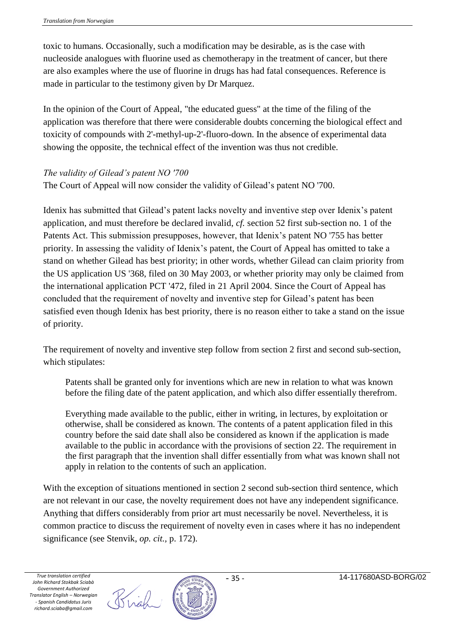toxic to humans. Occasionally, such a modification may be desirable, as is the case with nucleoside analogues with fluorine used as chemotherapy in the treatment of cancer, but there are also examples where the use of fluorine in drugs has had fatal consequences. Reference is made in particular to the testimony given by Dr Marquez.

In the opinion of the Court of Appeal, "the educated guess" at the time of the filing of the application was therefore that there were considerable doubts concerning the biological effect and toxicity of compounds with 2'-methyl-up-2'-fluoro-down. In the absence of experimental data showing the opposite, the technical effect of the invention was thus not credible.

## *The validity of Gilead's patent NO '700*

The Court of Appeal will now consider the validity of Gilead's patent NO '700.

Idenix has submitted that Gilead's patent lacks novelty and inventive step over Idenix's patent application, and must therefore be declared invalid, *cf.* section 52 first sub-section no. 1 of the Patents Act. This submission presupposes, however, that Idenix's patent NO '755 has better priority. In assessing the validity of Idenix's patent, the Court of Appeal has omitted to take a stand on whether Gilead has best priority; in other words, whether Gilead can claim priority from the US application US '368, filed on 30 May 2003, or whether priority may only be claimed from the international application PCT '472, filed in 21 April 2004. Since the Court of Appeal has concluded that the requirement of novelty and inventive step for Gilead's patent has been satisfied even though Idenix has best priority, there is no reason either to take a stand on the issue of priority.

The requirement of novelty and inventive step follow from section 2 first and second sub-section, which stipulates:

Patents shall be granted only for inventions which are new in relation to what was known before the filing date of the patent application, and which also differ essentially therefrom.

Everything made available to the public, either in writing, in lectures, by exploitation or otherwise, shall be considered as known. The contents of a patent application filed in this country before the said date shall also be considered as known if the application is made available to the public in accordance with the provisions of section 22. The requirement in the first paragraph that the invention shall differ essentially from what was known shall not apply in relation to the contents of such an application.

With the exception of situations mentioned in section 2 second sub-section third sentence, which are not relevant in our case, the novelty requirement does not have any independent significance. Anything that differs considerably from prior art must necessarily be novel. Nevertheless, it is common practice to discuss the requirement of novelty even in cases where it has no independent significance (see Stenvik, *op. cit.,* p. 172).

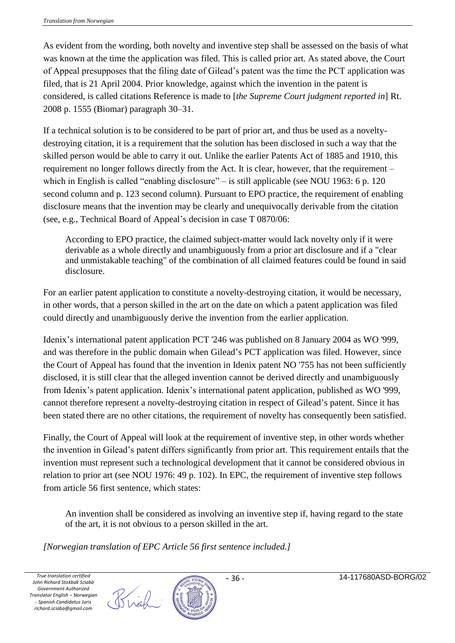As evident from the wording, both novelty and inventive step shall be assessed on the basis of what was known at the time the application was filed. This is called prior art. As stated above, the Court of Appeal presupposes that the filing date of Gilead's patent was the time the PCT application was filed, that is 21 April 2004. Prior knowledge, against which the invention in the patent is considered, is called citations Reference is made to [*the Supreme Court judgment reported in*] Rt. 2008 p. 1555 (Biomar) paragraph 30–31.

If a technical solution is to be considered to be part of prior art, and thus be used as a noveltydestroying citation, it is a requirement that the solution has been disclosed in such a way that the skilled person would be able to carry it out. Unlike the earlier Patents Act of 1885 and 1910, this requirement no longer follows directly from the Act. It is clear, however, that the requirement – which in English is called "enabling disclosure" – is still applicable (see NOU 1963: 6 p. 120) second column and p. 123 second column). Pursuant to EPO practice, the requirement of enabling disclosure means that the invention may be clearly and unequivocally derivable from the citation (see, e.g., Technical Board of Appeal's decision in case T 0870/06:

According to EPO practice, the claimed subject-matter would lack novelty only if it were derivable as a whole directly and unambiguously from a prior art disclosure and if a "clear and unmistakable teaching" of the combination of all claimed features could be found in said disclosure.

For an earlier patent application to constitute a novelty-destroying citation, it would be necessary, in other words, that a person skilled in the art on the date on which a patent application was filed could directly and unambiguously derive the invention from the earlier application.

Idenix's international patent application PCT '246 was published on 8 January 2004 as WO '999, and was therefore in the public domain when Gilead's PCT application was filed. However, since the Court of Appeal has found that the invention in Idenix patent NO '755 has not been sufficiently disclosed, it is still clear that the alleged invention cannot be derived directly and unambiguously from Idenix's patent application. Idenix's international patent application, published as WO '999, cannot therefore represent a novelty-destroying citation in respect of Gilead's patent. Since it has been stated there are no other citations, the requirement of novelty has consequently been satisfied.

Finally, the Court of Appeal will look at the requirement of inventive step, in other words whether the invention in Gilead's patent differs significantly from prior art. This requirement entails that the invention must represent such a technological development that it cannot be considered obvious in relation to prior art (see NOU 1976: 49 p. 102). In EPC, the requirement of inventive step follows from article 56 first sentence, which states:

An invention shall be considered as involving an inventive step if, having regard to the state of the art, it is not obvious to a person skilled in the art.

*[Norwegian translation of EPC Article 56 first sentence included.]*

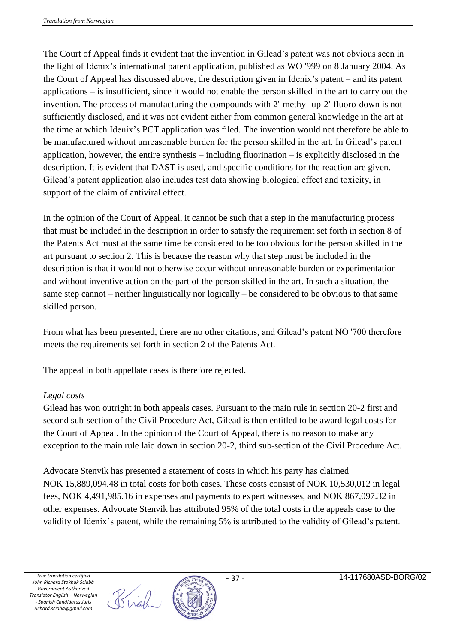The Court of Appeal finds it evident that the invention in Gilead's patent was not obvious seen in the light of Idenix's international patent application, published as WO '999 on 8 January 2004. As the Court of Appeal has discussed above, the description given in Idenix's patent – and its patent applications – is insufficient, since it would not enable the person skilled in the art to carry out the invention. The process of manufacturing the compounds with 2'-methyl-up-2'-fluoro-down is not sufficiently disclosed, and it was not evident either from common general knowledge in the art at the time at which Idenix's PCT application was filed. The invention would not therefore be able to be manufactured without unreasonable burden for the person skilled in the art. In Gilead's patent application, however, the entire synthesis – including fluorination – is explicitly disclosed in the description. It is evident that DAST is used, and specific conditions for the reaction are given. Gilead's patent application also includes test data showing biological effect and toxicity, in support of the claim of antiviral effect.

In the opinion of the Court of Appeal, it cannot be such that a step in the manufacturing process that must be included in the description in order to satisfy the requirement set forth in section 8 of the Patents Act must at the same time be considered to be too obvious for the person skilled in the art pursuant to section 2. This is because the reason why that step must be included in the description is that it would not otherwise occur without unreasonable burden or experimentation and without inventive action on the part of the person skilled in the art. In such a situation, the same step cannot – neither linguistically nor logically – be considered to be obvious to that same skilled person.

From what has been presented, there are no other citations, and Gilead's patent NO '700 therefore meets the requirements set forth in section 2 of the Patents Act.

The appeal in both appellate cases is therefore rejected.

#### *Legal costs*

Gilead has won outright in both appeals cases. Pursuant to the main rule in section 20-2 first and second sub-section of the Civil Procedure Act, Gilead is then entitled to be award legal costs for the Court of Appeal. In the opinion of the Court of Appeal, there is no reason to make any exception to the main rule laid down in section 20-2, third sub-section of the Civil Procedure Act.

Advocate Stenvik has presented a statement of costs in which his party has claimed NOK 15,889,094.48 in total costs for both cases. These costs consist of NOK 10,530,012 in legal fees, NOK 4,491,985.16 in expenses and payments to expert witnesses, and NOK 867,097.32 in other expenses. Advocate Stenvik has attributed 95% of the total costs in the appeals case to the validity of Idenix's patent, while the remaining 5% is attributed to the validity of Gilead's patent.

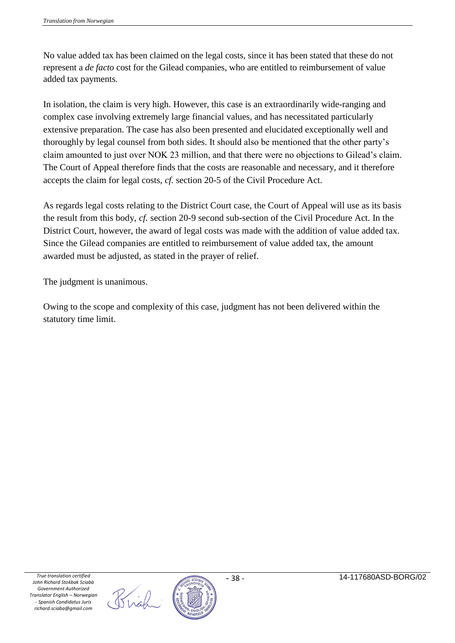No value added tax has been claimed on the legal costs, since it has been stated that these do not represent a *de facto* cost for the Gilead companies, who are entitled to reimbursement of value added tax payments.

In isolation, the claim is very high. However, this case is an extraordinarily wide-ranging and complex case involving extremely large financial values, and has necessitated particularly extensive preparation. The case has also been presented and elucidated exceptionally well and thoroughly by legal counsel from both sides. It should also be mentioned that the other party's claim amounted to just over NOK 23 million, and that there were no objections to Gilead's claim. The Court of Appeal therefore finds that the costs are reasonable and necessary, and it therefore accepts the claim for legal costs, *cf.* section 20-5 of the Civil Procedure Act.

As regards legal costs relating to the District Court case, the Court of Appeal will use as its basis the result from this body, *cf.* section 20-9 second sub-section of the Civil Procedure Act. In the District Court, however, the award of legal costs was made with the addition of value added tax. Since the Gilead companies are entitled to reimbursement of value added tax, the amount awarded must be adjusted, as stated in the prayer of relief.

The judgment is unanimous.

Owing to the scope and complexity of this case, judgment has not been delivered within the statutory time limit.